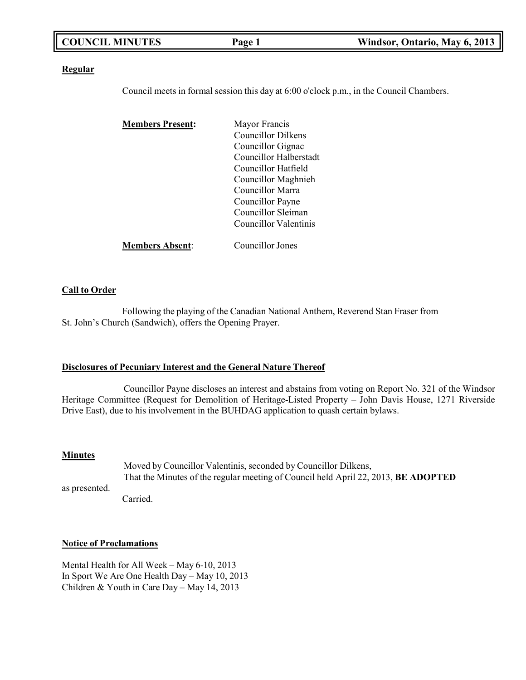| <b>COUNCIL MINUTES</b> | Page 1 | Windsor, Ontario, May 6, 2013 |
|------------------------|--------|-------------------------------|
|                        |        |                               |

#### **Regular**

Council meets in formal session this day at 6:00 o'clock p.m., in the Council Chambers.

| <b>Members Present:</b> | Mayor Francis          |
|-------------------------|------------------------|
|                         | Councillor Dilkens     |
|                         | Councillor Gignac      |
|                         | Councillor Halberstadt |
|                         | Councillor Hatfield    |
|                         | Councillor Maghnieh    |
|                         | Councillor Marra       |
|                         | Councillor Payne       |
|                         | Councillor Sleiman     |
|                         | Councillor Valentinis  |
| <b>Members Absent:</b>  | Councillor Jones       |

### **Call to Order**

Following the playing of the Canadian National Anthem, Reverend Stan Fraser from St. John's Church (Sandwich), offers the Opening Prayer.

#### **Disclosures of Pecuniary Interest and the General Nature Thereof**

Councillor Payne discloses an interest and abstains from voting on Report No. 321 of the Windsor Heritage Committee (Request for Demolition of Heritage-Listed Property – John Davis House, 1271 Riverside Drive East), due to his involvement in the BUHDAG application to quash certain bylaws.

#### **Minutes**

as presented. Moved by Councillor Valentinis, seconded by Councillor Dilkens, That the Minutes of the regular meeting of Council held April 22, 2013, **BE ADOPTED** Carried.

#### **Notice of Proclamations**

Mental Health for All Week – May 6-10, 2013 In Sport We Are One Health Day – May 10, 2013 Children & Youth in Care Day – May 14, 2013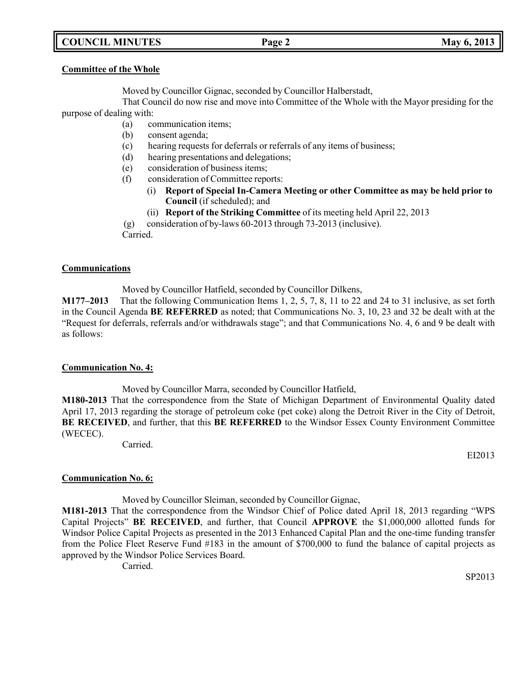# **COUNCIL MINUTES Page 2 May 6, 2013**

#### **Committee of the Whole**

Moved by Councillor Gignac, seconded by Councillor Halberstadt,

That Council do now rise and move into Committee of the Whole with the Mayor presiding for the purpose of dealing with:

- (a) communication items;
- (b) consent agenda;
- (c) hearing requests for deferrals or referrals of any items of business;
- (d) hearing presentations and delegations;
- (e) consideration of business items;
- (f) consideration of Committee reports:
	- (i) **Report of Special In-Camera Meeting or other Committee as may be held prior to Council** (if scheduled); and
	- (ii) **Report of the Striking Committee** of its meeting held April 22, 2013

(g) consideration of by-laws 60-2013 through 73-2013 (inclusive).

Carried.

### **Communications**

Moved by Councillor Hatfield, seconded by Councillor Dilkens,

**M177–2013** That the following Communication Items 1, 2, 5, 7, 8, 11 to 22 and 24 to 31 inclusive, as set forth in the Council Agenda **BE REFERRED** as noted; that Communications No. 3, 10, 23 and 32 be dealt with at the "Request for deferrals, referrals and/or withdrawals stage"; and that Communications No. 4, 6 and 9 be dealt with as follows:

#### **Communication No. 4:**

Moved by Councillor Marra, seconded by Councillor Hatfield,

**M180-2013** That the correspondence from the State of Michigan Department of Environmental Quality dated April 17, 2013 regarding the storage of petroleum coke (pet coke) along the Detroit River in the City of Detroit, **BE RECEIVED**, and further, that this **BE REFERRED** to the Windsor Essex County Environment Committee (WECEC).

Carried.

EI2013

## **Communication No. 6:**

Moved by Councillor Sleiman, seconded by Councillor Gignac,

**M181-2013** That the correspondence from the Windsor Chief of Police dated April 18, 2013 regarding "WPS Capital Projects" **BE RECEIVED**, and further, that Council **APPROVE** the \$1,000,000 allotted funds for Windsor Police Capital Projects as presented in the 2013 Enhanced Capital Plan and the one-time funding transfer from the Police Fleet Reserve Fund #183 in the amount of \$700,000 to fund the balance of capital projects as approved by the Windsor Police Services Board.

Carried.

SP2013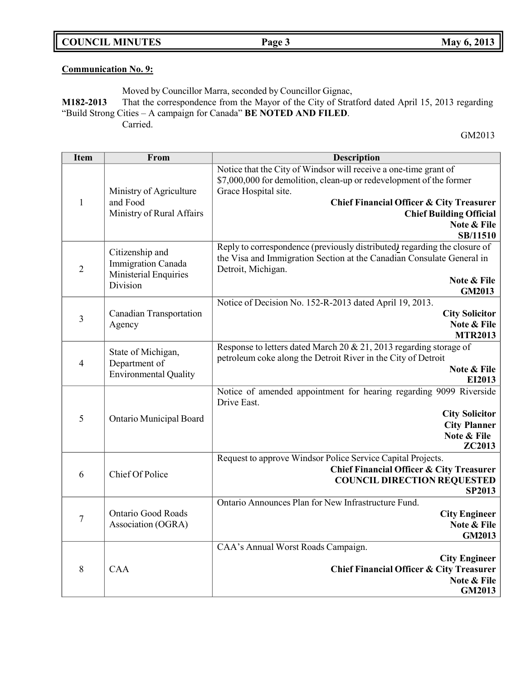**COUNCIL MINUTES Page 3 May 6, 2013**

# **Communication No. 9:**

Moved by Councillor Marra, seconded by Councillor Gignac,

**M182-2013** That the correspondence from the Mayor of the City of Stratford dated April 15, 2013 regarding "Build Strong Cities – A campaign for Canada" **BE NOTED AND FILED**.

Carried.

GM2013

| <b>Item</b>    | From                                  | <b>Description</b>                                                                                                                      |
|----------------|---------------------------------------|-----------------------------------------------------------------------------------------------------------------------------------------|
|                |                                       | Notice that the City of Windsor will receive a one-time grant of<br>\$7,000,000 for demolition, clean-up or redevelopment of the former |
| $\mathbf{1}$   | Ministry of Agriculture               | Grace Hospital site.                                                                                                                    |
|                | and Food                              | <b>Chief Financial Officer &amp; City Treasurer</b>                                                                                     |
|                | Ministry of Rural Affairs             | <b>Chief Building Official</b>                                                                                                          |
|                |                                       | Note & File<br><b>SB/11510</b>                                                                                                          |
|                |                                       | Reply to correspondence (previously distributed) regarding the closure of                                                               |
|                | Citizenship and<br>Immigration Canada | the Visa and Immigration Section at the Canadian Consulate General in                                                                   |
| $\overline{2}$ | Ministerial Enquiries                 | Detroit, Michigan.                                                                                                                      |
|                | Division                              | Note & File                                                                                                                             |
|                |                                       | <b>GM2013</b><br>Notice of Decision No. 152-R-2013 dated April 19, 2013.                                                                |
|                | <b>Canadian Transportation</b>        | <b>City Solicitor</b>                                                                                                                   |
| 3              | Agency                                | Note & File                                                                                                                             |
|                |                                       | <b>MTR2013</b>                                                                                                                          |
|                | State of Michigan,                    | Response to letters dated March 20 & 21, 2013 regarding storage of                                                                      |
| $\overline{4}$ | Department of                         | petroleum coke along the Detroit River in the City of Detroit<br>Note & File                                                            |
|                | <b>Environmental Quality</b>          | EI2013                                                                                                                                  |
|                |                                       | Notice of amended appointment for hearing regarding 9099 Riverside                                                                      |
|                |                                       | Drive East.                                                                                                                             |
| 5              | Ontario Municipal Board               | <b>City Solicitor</b><br><b>City Planner</b>                                                                                            |
|                |                                       | Note & File                                                                                                                             |
|                |                                       | <b>ZC2013</b>                                                                                                                           |
|                |                                       | Request to approve Windsor Police Service Capital Projects.                                                                             |
| 6              | Chief Of Police                       | <b>Chief Financial Officer &amp; City Treasurer</b>                                                                                     |
|                |                                       | <b>COUNCIL DIRECTION REQUESTED</b><br>SP2013                                                                                            |
|                |                                       | Ontario Announces Plan for New Infrastructure Fund.                                                                                     |
| $\overline{7}$ | <b>Ontario Good Roads</b>             | <b>City Engineer</b>                                                                                                                    |
|                | Association (OGRA)                    | Note & File                                                                                                                             |
|                |                                       | <b>GM2013</b>                                                                                                                           |
|                | <b>CAA</b>                            | CAA's Annual Worst Roads Campaign.<br><b>City Engineer</b>                                                                              |
| 8              |                                       | <b>Chief Financial Officer &amp; City Treasurer</b>                                                                                     |
|                |                                       | Note & File                                                                                                                             |
|                |                                       | <b>GM2013</b>                                                                                                                           |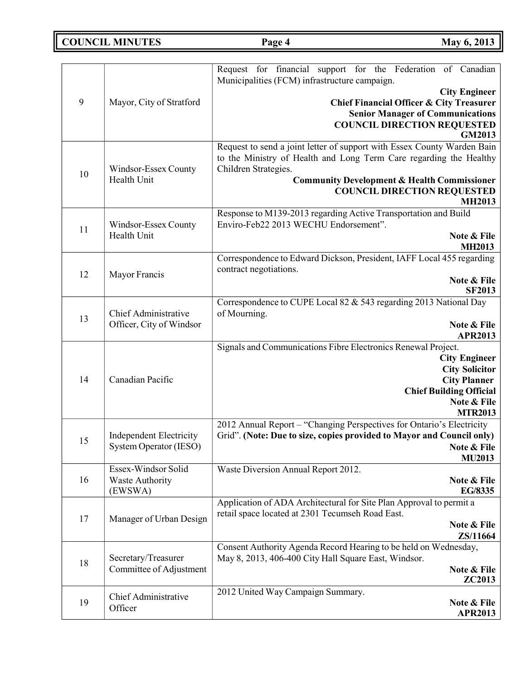**COUNCIL MINUTES Page 4 May** 6, 2013

|    |                                        | Request for financial support for the Federation of Canadian<br>Municipalities (FCM) infrastructure campaign. |
|----|----------------------------------------|---------------------------------------------------------------------------------------------------------------|
| 9  | Mayor, City of Stratford               | <b>City Engineer</b><br>Chief Financial Officer & City Treasurer                                              |
|    |                                        |                                                                                                               |
|    |                                        | <b>Senior Manager of Communications</b><br><b>COUNCIL DIRECTION REQUESTED</b>                                 |
|    |                                        | GM2013                                                                                                        |
|    |                                        | Request to send a joint letter of support with Essex County Warden Bain                                       |
|    |                                        | to the Ministry of Health and Long Term Care regarding the Healthy                                            |
|    | Windsor-Essex County                   | Children Strategies.                                                                                          |
| 10 | Health Unit                            | <b>Community Development &amp; Health Commissioner</b>                                                        |
|    |                                        | <b>COUNCIL DIRECTION REQUESTED</b>                                                                            |
|    |                                        | <b>MH2013</b>                                                                                                 |
|    |                                        | Response to M139-2013 regarding Active Transportation and Build                                               |
| 11 | Windsor-Essex County                   | Enviro-Feb22 2013 WECHU Endorsement".                                                                         |
|    | Health Unit                            | Note & File                                                                                                   |
|    |                                        | <b>MH2013</b>                                                                                                 |
|    |                                        | Correspondence to Edward Dickson, President, IAFF Local 455 regarding                                         |
| 12 | Mayor Francis                          | contract negotiations.                                                                                        |
|    |                                        | Note & File                                                                                                   |
|    |                                        | <b>SF2013</b>                                                                                                 |
|    |                                        | Correspondence to CUPE Local 82 & 543 regarding 2013 National Day                                             |
| 13 | <b>Chief Administrative</b>            | of Mourning.                                                                                                  |
|    | Officer, City of Windsor               | Note & File                                                                                                   |
|    |                                        | <b>APR2013</b><br>Signals and Communications Fibre Electronics Renewal Project.                               |
|    |                                        | <b>City Engineer</b>                                                                                          |
|    | Canadian Pacific                       | <b>City Solicitor</b>                                                                                         |
| 14 |                                        | <b>City Planner</b>                                                                                           |
|    |                                        | <b>Chief Building Official</b>                                                                                |
|    |                                        | Note & File                                                                                                   |
|    |                                        | <b>MTR2013</b>                                                                                                |
|    |                                        | 2012 Annual Report - "Changing Perspectives for Ontario's Electricity                                         |
| 15 | <b>Independent Electricity</b>         | Grid". (Note: Due to size, copies provided to Mayor and Council only)                                         |
|    | System Operator (IESO)                 | Note & File                                                                                                   |
|    |                                        | <b>MU2013</b>                                                                                                 |
| 16 | Essex-Windsor Solid<br>Waste Authority | Waste Diversion Annual Report 2012.<br>Note & File                                                            |
|    | (EWSWA)                                | <b>EG/8335</b>                                                                                                |
|    |                                        | Application of ADA Architectural for Site Plan Approval to permit a                                           |
|    |                                        | retail space located at 2301 Tecumseh Road East.                                                              |
| 17 | Manager of Urban Design                | Note & File                                                                                                   |
|    |                                        | ZS/11664                                                                                                      |
|    |                                        | Consent Authority Agenda Record Hearing to be held on Wednesday,                                              |
|    | Secretary/Treasurer                    | May 8, 2013, 406-400 City Hall Square East, Windsor.                                                          |
| 18 | Committee of Adjustment                | Note & File                                                                                                   |
|    |                                        | ZC2013                                                                                                        |
|    | Chief Administrative                   | 2012 United Way Campaign Summary.                                                                             |
| 19 | Officer                                | Note & File                                                                                                   |
|    |                                        | <b>APR2013</b>                                                                                                |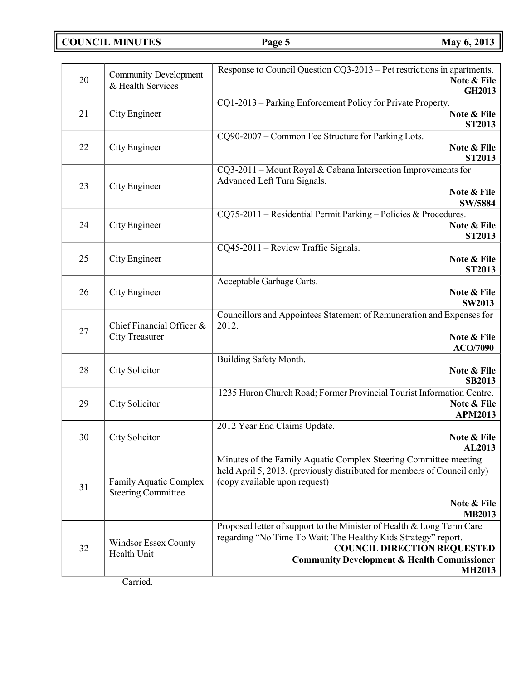**COUNCIL MINUTES Page 5 May 6, 2013**

| 20 | <b>Community Development</b><br>& Health Services   | Response to Council Question CQ3-2013 – Pet restrictions in apartments.<br>Note & File<br><b>GH2013</b>                                                                                                                                                  |
|----|-----------------------------------------------------|----------------------------------------------------------------------------------------------------------------------------------------------------------------------------------------------------------------------------------------------------------|
| 21 | City Engineer                                       | CQ1-2013 – Parking Enforcement Policy for Private Property.<br>Note & File<br>ST2013                                                                                                                                                                     |
| 22 | City Engineer                                       | CQ90-2007 – Common Fee Structure for Parking Lots.<br>Note & File<br>ST2013                                                                                                                                                                              |
| 23 | City Engineer                                       | CQ3-2011 – Mount Royal & Cabana Intersection Improvements for<br>Advanced Left Turn Signals.<br>Note & File<br><b>SW/5884</b>                                                                                                                            |
| 24 | City Engineer                                       | CQ75-2011 - Residential Permit Parking - Policies & Procedures.<br>Note & File<br>ST2013                                                                                                                                                                 |
| 25 | City Engineer                                       | CQ45-2011 - Review Traffic Signals.<br>Note & File<br><b>ST2013</b>                                                                                                                                                                                      |
| 26 | City Engineer                                       | Acceptable Garbage Carts.<br>Note & File<br><b>SW2013</b>                                                                                                                                                                                                |
| 27 | Chief Financial Officer &<br>City Treasurer         | Councillors and Appointees Statement of Remuneration and Expenses for<br>2012.<br>Note & File<br>ACO/7090                                                                                                                                                |
| 28 | City Solicitor                                      | Building Safety Month.<br>Note & File<br><b>SB2013</b>                                                                                                                                                                                                   |
| 29 | City Solicitor                                      | 1235 Huron Church Road; Former Provincial Tourist Information Centre.<br>Note & File<br><b>APM2013</b>                                                                                                                                                   |
| 30 | City Solicitor                                      | 2012 Year End Claims Update.<br>Note & File<br>AL2013                                                                                                                                                                                                    |
| 31 | Family Aquatic Complex<br><b>Steering Committee</b> | Minutes of the Family Aquatic Complex Steering Committee meeting<br>held April 5, 2013. (previously distributed for members of Council only)<br>(copy available upon request)<br>Note & File<br><b>MB2013</b>                                            |
| 32 | <b>Windsor Essex County</b><br>Health Unit          | Proposed letter of support to the Minister of Health & Long Term Care<br>regarding "No Time To Wait: The Healthy Kids Strategy" report.<br><b>COUNCIL DIRECTION REQUESTED</b><br><b>Community Development &amp; Health Commissioner</b><br><b>MH2013</b> |

Carried.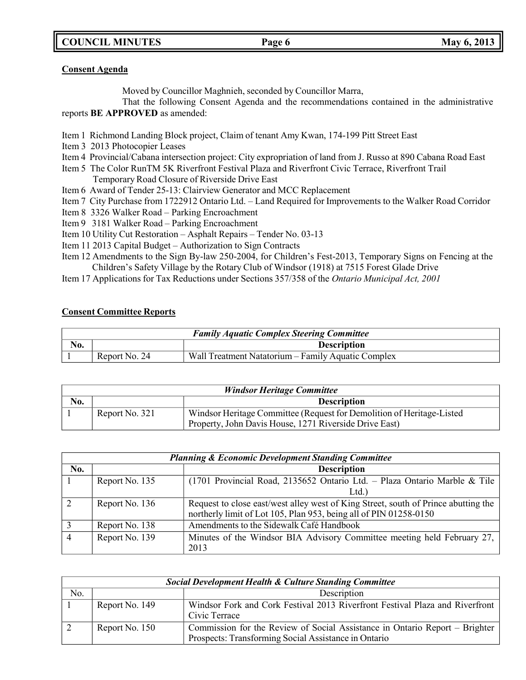**COUNCIL MINUTES Page 6 May 6, 2013**

### **Consent Agenda**

Moved by Councillor Maghnieh, seconded by Councillor Marra,

That the following Consent Agenda and the recommendations contained in the administrative reports **BE APPROVED** as amended:

- Item 1 Richmond Landing Block project, Claim of tenant Amy Kwan, 174-199 Pitt Street East
- Item 3 2013 Photocopier Leases
- Item 4 Provincial/Cabana intersection project: City expropriation of land from J. Russo at 890 Cabana Road East
- Item 5 The Color RunTM 5K Riverfront Festival Plaza and Riverfront Civic Terrace, Riverfront Trail Temporary Road Closure of Riverside Drive East
- Item 6 Award of Tender 25-13: Clairview Generator and MCC Replacement
- Item 7 City Purchase from 1722912 Ontario Ltd. Land Required for Improvements to the Walker Road Corridor
- Item 8 3326 Walker Road Parking Encroachment
- Item 9 3181 Walker Road Parking Encroachment
- Item 10 Utility Cut Restoration Asphalt Repairs Tender No. 03-13
- Item 11 2013 Capital Budget Authorization to Sign Contracts
- Item 12 Amendments to the Sign By-law 250-2004, for Children's Fest-2013, Temporary Signs on Fencing at the Children's Safety Village by the Rotary Club of Windsor (1918) at 7515 Forest Glade Drive
- Item 17 Applications for Tax Reductions under Sections 357/358 of the *Ontario Municipal Act, 2001*

# **Consent Committee Reports**

| <b>Family Aquatic Complex Steering Committee</b> |               |                                                    |
|--------------------------------------------------|---------------|----------------------------------------------------|
| No.                                              |               | <b>Description</b>                                 |
|                                                  | Report No. 24 | Wall Treatment Natatorium – Family Aquatic Complex |

| <b>Windsor Heritage Committee</b> |                |                                                                       |
|-----------------------------------|----------------|-----------------------------------------------------------------------|
| N <sub>0</sub> .                  |                | <b>Description</b>                                                    |
|                                   | Report No. 321 | Windsor Heritage Committee (Request for Demolition of Heritage-Listed |
|                                   |                | Property, John Davis House, 1271 Riverside Drive East)                |

| <b>Planning &amp; Economic Development Standing Committee</b> |                |                                                                                                                                                         |
|---------------------------------------------------------------|----------------|---------------------------------------------------------------------------------------------------------------------------------------------------------|
| No.                                                           |                | <b>Description</b>                                                                                                                                      |
|                                                               | Report No. 135 | (1701 Provincial Road, 2135652 Ontario Ltd. - Plaza Ontario Marble & Tile                                                                               |
|                                                               |                | Ltd.                                                                                                                                                    |
|                                                               | Report No. 136 | Request to close east/west alley west of King Street, south of Prince abutting the<br>northerly limit of Lot 105, Plan 953, being all of PIN 01258-0150 |
|                                                               | Report No. 138 | Amendments to the Sidewalk Café Handbook                                                                                                                |
|                                                               | Report No. 139 | Minutes of the Windsor BIA Advisory Committee meeting held February 27,<br>2013                                                                         |

| <b>Social Development Health &amp; Culture Standing Committee</b> |                |                                                                                                                                     |
|-------------------------------------------------------------------|----------------|-------------------------------------------------------------------------------------------------------------------------------------|
| No.                                                               |                | Description                                                                                                                         |
|                                                                   | Report No. 149 | Windsor Fork and Cork Festival 2013 Riverfront Festival Plaza and Riverfront<br>Civic Terrace                                       |
|                                                                   | Report No. 150 | Commission for the Review of Social Assistance in Ontario Report – Brighter<br>Prospects: Transforming Social Assistance in Ontario |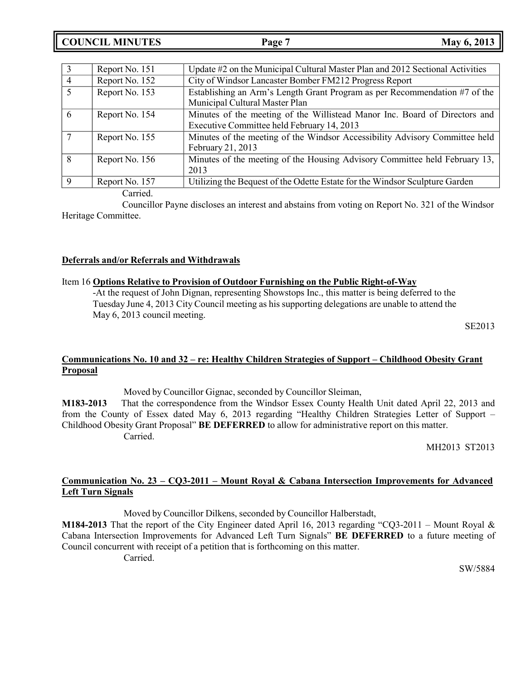|                | Report No. 151 | Update #2 on the Municipal Cultural Master Plan and 2012 Sectional Activities                                            |
|----------------|----------------|--------------------------------------------------------------------------------------------------------------------------|
| 4              | Report No. 152 | City of Windsor Lancaster Bomber FM212 Progress Report                                                                   |
| $\overline{5}$ | Report No. 153 | Establishing an Arm's Length Grant Program as per Recommendation #7 of the<br>Municipal Cultural Master Plan             |
| 6              | Report No. 154 | Minutes of the meeting of the Willistead Manor Inc. Board of Directors and<br>Executive Committee held February 14, 2013 |
|                | Report No. 155 | Minutes of the meeting of the Windsor Accessibility Advisory Committee held<br>February 21, 2013                         |
| 8              | Report No. 156 | Minutes of the meeting of the Housing Advisory Committee held February 13,<br>2013                                       |
| $\Omega$       | Report No. 157 | Utilizing the Bequest of the Odette Estate for the Windsor Sculpture Garden                                              |

Carried.

Councillor Payne discloses an interest and abstains from voting on Report No. 321 of the Windsor Heritage Committee.

### **Deferrals and/or Referrals and Withdrawals**

### Item 16 **Options Relative to Provision of Outdoor Furnishing on the Public Right-of-Way**

-At the request of John Dignan, representing Showstops Inc., this matter is being deferred to the Tuesday June 4, 2013 City Council meeting as his supporting delegations are unable to attend the May 6, 2013 council meeting.

SE2013

# **Communications No. 10 and 32 – re: Healthy Children Strategies of Support – Childhood Obesity Grant Proposal**

Moved by Councillor Gignac, seconded by Councillor Sleiman,

**M183-2013** That the correspondence from the Windsor Essex County Health Unit dated April 22, 2013 and from the County of Essex dated May 6, 2013 regarding "Healthy Children Strategies Letter of Support – Childhood Obesity Grant Proposal" **BE DEFERRED** to allow for administrative report on this matter. Carried.

MH2013 ST2013

# **Communication No. 23 – CQ3-2011 – Mount Royal & Cabana Intersection Improvements for Advanced Left Turn Signals**

Moved by Councillor Dilkens, seconded by Councillor Halberstadt,

**M184-2013** That the report of the City Engineer dated April 16, 2013 regarding "CQ3-2011 – Mount Royal & Cabana Intersection Improvements for Advanced Left Turn Signals" **BE DEFERRED** to a future meeting of Council concurrent with receipt of a petition that is forthcoming on this matter.

SW/5884

Carried.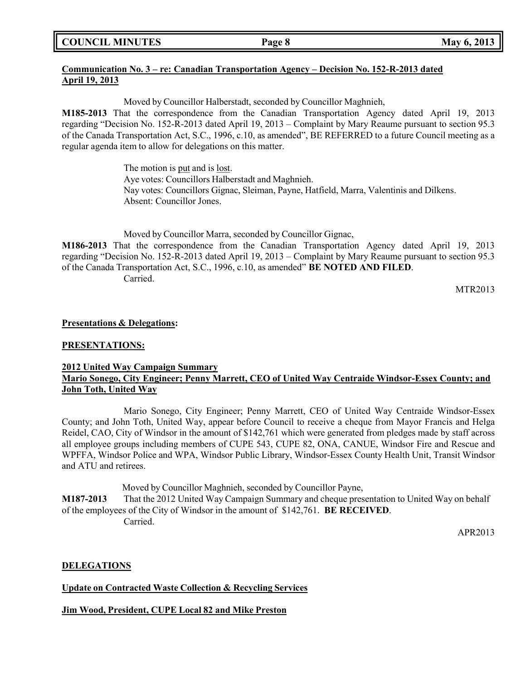# **Communication No. 3 – re: Canadian Transportation Agency – Decision No. 152-R-2013 dated April 19, 2013**

Moved by Councillor Halberstadt, seconded by Councillor Maghnieh,

**M185-2013** That the correspondence from the Canadian Transportation Agency dated April 19, 2013 regarding "Decision No. 152-R-2013 dated April 19, 2013 – Complaint by Mary Reaume pursuant to section 95.3 of the Canada Transportation Act, S.C., 1996, c.10, as amended", BE REFERRED to a future Council meeting as a regular agenda item to allow for delegations on this matter.

> The motion is put and is lost. Aye votes: Councillors Halberstadt and Maghnieh. Nay votes: Councillors Gignac, Sleiman, Payne, Hatfield, Marra, Valentinis and Dilkens. Absent: Councillor Jones.

Moved by Councillor Marra, seconded by Councillor Gignac,

**M186-2013** That the correspondence from the Canadian Transportation Agency dated April 19, 2013 regarding "Decision No. 152-R-2013 dated April 19, 2013 – Complaint by Mary Reaume pursuant to section 95.3 of the Canada Transportation Act, S.C., 1996, c.10, as amended" **BE NOTED AND FILED**. Carried.

MTR2013

### **Presentations & Delegations:**

### **PRESENTATIONS:**

# **2012 United Way Campaign Summary Mario Sonego, City Engineer; Penny Marrett, CEO of United Way Centraide Windsor-Essex County; and John Toth, United Way**

Mario Sonego, City Engineer; Penny Marrett, CEO of United Way Centraide Windsor-Essex County; and John Toth, United Way, appear before Council to receive a cheque from Mayor Francis and Helga Reidel, CAO, City of Windsor in the amount of \$142,761 which were generated from pledges made by staff across all employee groups including members of CUPE 543, CUPE 82, ONA, CANUE, Windsor Fire and Rescue and WPFFA, Windsor Police and WPA, Windsor Public Library, Windsor-Essex County Health Unit, Transit Windsor and ATU and retirees.

Moved by Councillor Maghnieh, seconded by Councillor Payne,

**M187-2013** That the 2012 United Way Campaign Summary and cheque presentation to United Way on behalf of the employees of the City of Windsor in the amount of \$142,761. **BE RECEIVED**. Carried.

APR2013

## **DELEGATIONS**

**Update on Contracted Waste Collection & Recycling Services**

**Jim Wood, President, CUPE Local 82 and Mike Preston**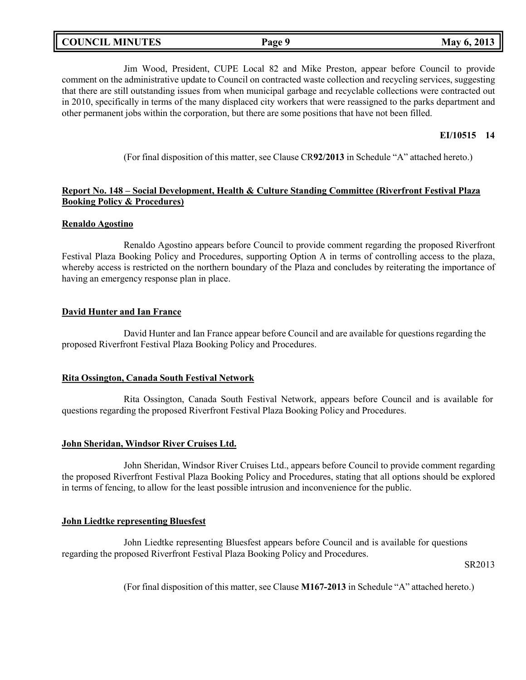|  | <b>COUNCIL MINUTES</b> | Page 9 | 2013<br><b>May 6,</b> |
|--|------------------------|--------|-----------------------|
|--|------------------------|--------|-----------------------|

Jim Wood, President, CUPE Local 82 and Mike Preston, appear before Council to provide comment on the administrative update to Council on contracted waste collection and recycling services, suggesting that there are still outstanding issues from when municipal garbage and recyclable collections were contracted out in 2010, specifically in terms of the many displaced city workers that were reassigned to the parks department and other permanent jobs within the corporation, but there are some positions that have not been filled.

### **EI/10515 14**

(For final disposition of this matter, see Clause CR**92/2013** in Schedule "A" attached hereto.)

## **Report No. 148 – Social Development, Health & Culture Standing Committee (Riverfront Festival Plaza Booking Policy & Procedures)**

#### **Renaldo Agostino**

Renaldo Agostino appears before Council to provide comment regarding the proposed Riverfront Festival Plaza Booking Policy and Procedures, supporting Option A in terms of controlling access to the plaza, whereby access is restricted on the northern boundary of the Plaza and concludes by reiterating the importance of having an emergency response plan in place.

### **David Hunter and Ian France**

David Hunter and Ian France appear before Council and are available for questions regarding the proposed Riverfront Festival Plaza Booking Policy and Procedures.

#### **Rita Ossington, Canada South Festival Network**

Rita Ossington, Canada South Festival Network, appears before Council and is available for questions regarding the proposed Riverfront Festival Plaza Booking Policy and Procedures.

#### **John Sheridan, Windsor River Cruises Ltd.**

John Sheridan, Windsor River Cruises Ltd., appears before Council to provide comment regarding the proposed Riverfront Festival Plaza Booking Policy and Procedures, stating that all options should be explored in terms of fencing, to allow for the least possible intrusion and inconvenience for the public.

#### **John Liedtke representing Bluesfest**

John Liedtke representing Bluesfest appears before Council and is available for questions regarding the proposed Riverfront Festival Plaza Booking Policy and Procedures.

SR2013

(For final disposition of this matter, see Clause **M167-2013** in Schedule "A" attached hereto.)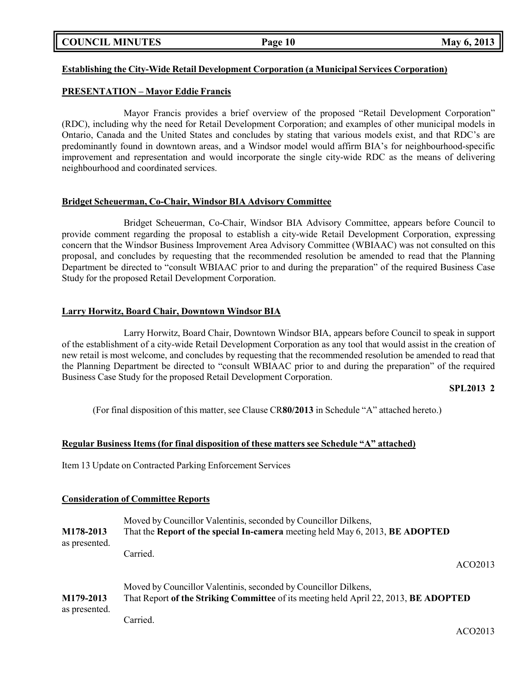**COUNCIL MINUTES Page 10 May 6, 2013**

# **Establishing the City-Wide Retail Development Corporation (a Municipal Services Corporation)**

# **PRESENTATION – Mayor Eddie Francis**

Mayor Francis provides a brief overview of the proposed "Retail Development Corporation" (RDC), including why the need for Retail Development Corporation; and examples of other municipal models in Ontario, Canada and the United States and concludes by stating that various models exist, and that RDC's are predominantly found in downtown areas, and a Windsor model would affirm BIA's for neighbourhood-specific improvement and representation and would incorporate the single city-wide RDC as the means of delivering neighbourhood and coordinated services.

## **Bridget Scheuerman, Co-Chair, Windsor BIA Advisory Committee**

Bridget Scheuerman, Co-Chair, Windsor BIA Advisory Committee, appears before Council to provide comment regarding the proposal to establish a city-wide Retail Development Corporation, expressing concern that the Windsor Business Improvement Area Advisory Committee (WBIAAC) was not consulted on this proposal, and concludes by requesting that the recommended resolution be amended to read that the Planning Department be directed to "consult WBIAAC prior to and during the preparation" of the required Business Case Study for the proposed Retail Development Corporation.

## **Larry Horwitz, Board Chair, Downtown Windsor BIA**

Larry Horwitz, Board Chair, Downtown Windsor BIA, appears before Council to speak in support of the establishment of a city-wide Retail Development Corporation as any tool that would assist in the creation of new retail is most welcome, and concludes by requesting that the recommended resolution be amended to read that the Planning Department be directed to "consult WBIAAC prior to and during the preparation" of the required Business Case Study for the proposed Retail Development Corporation.

#### **SPL2013 2**

(For final disposition of this matter, see Clause CR**80/2013** in Schedule "A" attached hereto.)

## **Regular Business Items (for final disposition of these matters see Schedule "A" attached)**

Item 13 Update on Contracted Parking Enforcement Services

## **Consideration of Committee Reports**

| M178-2013     | Moved by Councillor Valentinis, seconded by Councillor Dilkens,                      |  |
|---------------|--------------------------------------------------------------------------------------|--|
| as presented. | That the Report of the special In-camera meeting held May 6, 2013, BE ADOPTED        |  |
|               | Carried.<br>ACO <sub>2013</sub>                                                      |  |
| M179-2013     | Moved by Councillor Valentinis, seconded by Councillor Dilkens,                      |  |
| as presented. | That Report of the Striking Committee of its meeting held April 22, 2013, BE ADOPTED |  |
|               | Carried.                                                                             |  |

ACO2013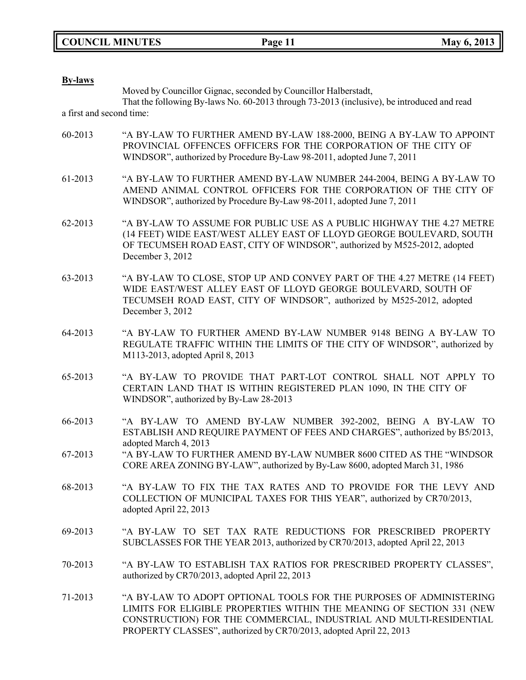**COUNCIL MINUTES Page 11 May 6, 2013**

| <b>By-laws</b>           |                                                                                                                                                                                                                                                                                          |
|--------------------------|------------------------------------------------------------------------------------------------------------------------------------------------------------------------------------------------------------------------------------------------------------------------------------------|
|                          | Moved by Councillor Gignac, seconded by Councillor Halberstadt,<br>That the following By-laws No. 60-2013 through 73-2013 (inclusive), be introduced and read                                                                                                                            |
| a first and second time: |                                                                                                                                                                                                                                                                                          |
| 60-2013                  | "A BY-LAW TO FURTHER AMEND BY-LAW 188-2000, BEING A BY-LAW TO APPOINT<br>PROVINCIAL OFFENCES OFFICERS FOR THE CORPORATION OF THE CITY OF<br>WINDSOR", authorized by Procedure By-Law 98-2011, adopted June 7, 2011                                                                       |
| 61-2013                  | "A BY-LAW TO FURTHER AMEND BY-LAW NUMBER 244-2004, BEING A BY-LAW TO<br>AMEND ANIMAL CONTROL OFFICERS FOR THE CORPORATION OF THE CITY OF<br>WINDSOR", authorized by Procedure By-Law 98-2011, adopted June 7, 2011                                                                       |
| 62-2013                  | "A BY-LAW TO ASSUME FOR PUBLIC USE AS A PUBLIC HIGHWAY THE 4.27 METRE<br>(14 FEET) WIDE EAST/WEST ALLEY EAST OF LLOYD GEORGE BOULEVARD, SOUTH<br>OF TECUMSEH ROAD EAST, CITY OF WINDSOR", authorized by M525-2012, adopted<br>December 3, 2012                                           |
| 63-2013                  | "A BY-LAW TO CLOSE, STOP UP AND CONVEY PART OF THE 4.27 METRE (14 FEET)<br>WIDE EAST/WEST ALLEY EAST OF LLOYD GEORGE BOULEVARD, SOUTH OF<br>TECUMSEH ROAD EAST, CITY OF WINDSOR", authorized by M525-2012, adopted<br>December 3, 2012                                                   |
| 64-2013                  | "A BY-LAW TO FURTHER AMEND BY-LAW NUMBER 9148 BEING A BY-LAW TO<br>REGULATE TRAFFIC WITHIN THE LIMITS OF THE CITY OF WINDSOR", authorized by<br>M113-2013, adopted April 8, 2013                                                                                                         |
| 65-2013                  | "A BY-LAW TO PROVIDE THAT PART-LOT CONTROL SHALL NOT APPLY TO<br>CERTAIN LAND THAT IS WITHIN REGISTERED PLAN 1090, IN THE CITY OF<br>WINDSOR", authorized by By-Law 28-2013                                                                                                              |
| 66-2013                  | "A BY-LAW TO AMEND BY-LAW NUMBER 392-2002, BEING A BY-LAW TO<br>ESTABLISH AND REQUIRE PAYMENT OF FEES AND CHARGES", authorized by B5/2013,<br>adopted March 4, 2013                                                                                                                      |
| 67-2013                  | "A BY-LAW TO FURTHER AMEND BY-LAW NUMBER 8600 CITED AS THE "WINDSOR<br>CORE AREA ZONING BY-LAW", authorized by By-Law 8600, adopted March 31, 1986                                                                                                                                       |
| 68-2013                  | "A BY-LAW TO FIX THE TAX RATES AND TO PROVIDE FOR THE LEVY AND<br>COLLECTION OF MUNICIPAL TAXES FOR THIS YEAR", authorized by CR70/2013,<br>adopted April 22, 2013                                                                                                                       |
| 69-2013                  | "A BY-LAW TO SET TAX RATE REDUCTIONS FOR PRESCRIBED PROPERTY<br>SUBCLASSES FOR THE YEAR 2013, authorized by CR70/2013, adopted April 22, 2013                                                                                                                                            |
| 70-2013                  | "A BY-LAW TO ESTABLISH TAX RATIOS FOR PRESCRIBED PROPERTY CLASSES",<br>authorized by CR70/2013, adopted April 22, 2013                                                                                                                                                                   |
| 71-2013                  | "A BY-LAW TO ADOPT OPTIONAL TOOLS FOR THE PURPOSES OF ADMINISTERING<br>LIMITS FOR ELIGIBLE PROPERTIES WITHIN THE MEANING OF SECTION 331 (NEW<br>CONSTRUCTION) FOR THE COMMERCIAL, INDUSTRIAL AND MULTI-RESIDENTIAL<br>PROPERTY CLASSES", authorized by CR70/2013, adopted April 22, 2013 |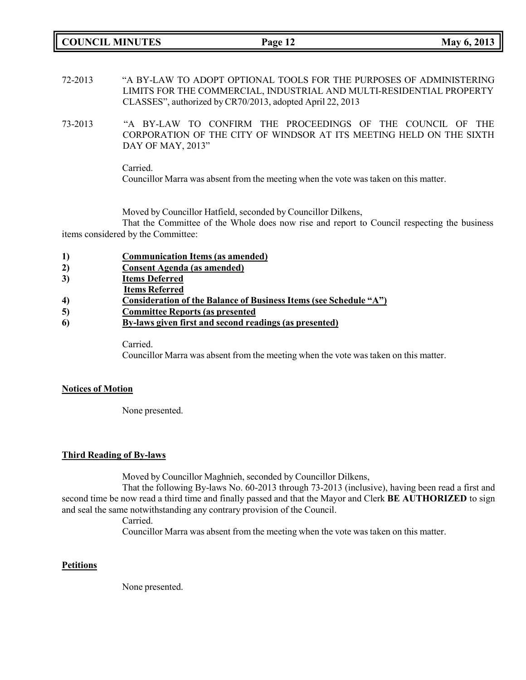**COUNCIL MINUTES Page 12 May 6, 2013**

- 72-2013 "A BY-LAW TO ADOPT OPTIONAL TOOLS FOR THE PURPOSES OF ADMINISTERING LIMITS FOR THE COMMERCIAL, INDUSTRIAL AND MULTI-RESIDENTIAL PROPERTY CLASSES", authorized by CR70/2013, adopted April 22, 2013
- 73-2013 "A BY-LAW TO CONFIRM THE PROCEEDINGS OF THE COUNCIL OF THE CORPORATION OF THE CITY OF WINDSOR AT ITS MEETING HELD ON THE SIXTH DAY OF MAY, 2013"

Carried. Councillor Marra was absent from the meeting when the vote was taken on this matter.

Moved by Councillor Hatfield, seconded by Councillor Dilkens,

That the Committee of the Whole does now rise and report to Council respecting the business items considered by the Committee:

| 1) | <b>Communication Items (as amended)</b>                           |
|----|-------------------------------------------------------------------|
| 2) | <b>Consent Agenda</b> (as amended)                                |
| 3) | <b>Items Deferred</b>                                             |
|    | <b>Items Referred</b>                                             |
| 4) | Consideration of the Balance of Business Items (see Schedule "A") |
| 5) | <b>Committee Reports (as presented)</b>                           |
| 6  | By-laws given first and second readings (as presented)            |

Carried.

Councillor Marra was absent from the meeting when the vote was taken on this matter.

## **Notices of Motion**

None presented.

## **Third Reading of By-laws**

Moved by Councillor Maghnieh, seconded by Councillor Dilkens,

That the following By-laws No. 60-2013 through 73-2013 (inclusive), having been read a first and second time be now read a third time and finally passed and that the Mayor and Clerk **BE AUTHORIZED** to sign and seal the same notwithstanding any contrary provision of the Council.

Carried.

Councillor Marra was absent from the meeting when the vote was taken on this matter.

## **Petitions**

None presented.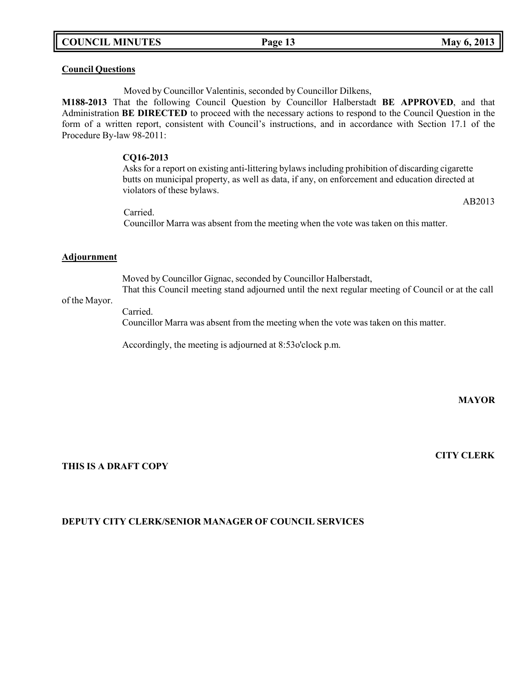# **COUNCIL MINUTES Page 13 May 6, 2013**

## **Council Questions**

Moved by Councillor Valentinis, seconded by Councillor Dilkens,

**M188-2013** That the following Council Question by Councillor Halberstadt **BE APPROVED**, and that Administration **BE DIRECTED** to proceed with the necessary actions to respond to the Council Question in the form of a written report, consistent with Council's instructions, and in accordance with Section 17.1 of the Procedure By-law 98-2011:

#### **CQ16-2013**

Asks for a report on existing anti-littering bylaws including prohibition of discarding cigarette butts on municipal property, as well as data, if any, on enforcement and education directed at violators of these bylaws.

AB2013

Carried. Councillor Marra was absent from the meeting when the vote was taken on this matter.

#### **Adjournment**

Moved by Councillor Gignac, seconded by Councillor Halberstadt, That this Council meeting stand adjourned until the next regular meeting of Council or at the call

#### of the Mayor.

Carried.

Councillor Marra was absent from the meeting when the vote was taken on this matter.

Accordingly, the meeting is adjourned at 8:53o'clock p.m.

**MAYOR**

**THIS IS A DRAFT COPY**

### **CITY CLERK**

## **DEPUTY CITY CLERK/SENIOR MANAGER OF COUNCIL SERVICES**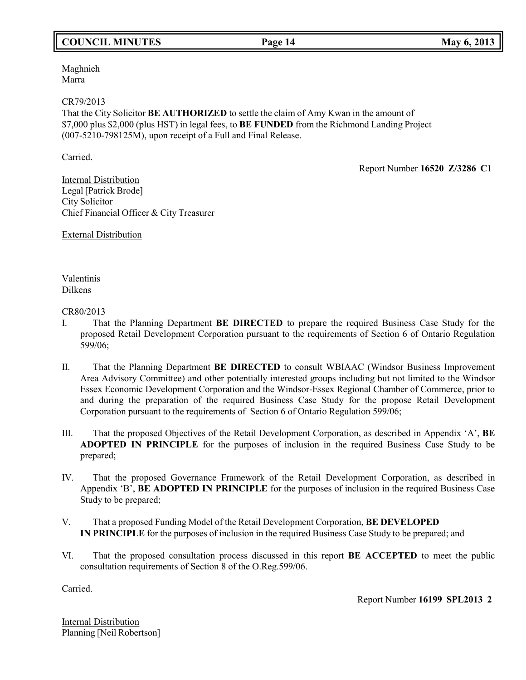# **COUNCIL MINUTES Page 14 May 6, 2013**

Maghnieh Marra

### CR79/2013

That the City Solicitor **BE AUTHORIZED** to settle the claim of Amy Kwan in the amount of \$7,000 plus \$2,000 (plus HST) in legal fees, to **BE FUNDED** from the Richmond Landing Project (007-5210-798125M), upon receipt of a Full and Final Release.

Carried.

Report Number **16520 Z/3286 C1**

Internal Distribution Legal [Patrick Brode] City Solicitor Chief Financial Officer & City Treasurer

External Distribution

Valentinis Dilkens

CR80/2013

- I. That the Planning Department **BE DIRECTED** to prepare the required Business Case Study for the proposed Retail Development Corporation pursuant to the requirements of Section 6 of Ontario Regulation 599/06;
- II. That the Planning Department **BE DIRECTED** to consult WBIAAC (Windsor Business Improvement Area Advisory Committee) and other potentially interested groups including but not limited to the Windsor Essex Economic Development Corporation and the Windsor-Essex Regional Chamber of Commerce, prior to and during the preparation of the required Business Case Study for the propose Retail Development Corporation pursuant to the requirements of Section 6 of Ontario Regulation 599/06;
- III. That the proposed Objectives of the Retail Development Corporation, as described in Appendix 'A', **BE ADOPTED IN PRINCIPLE** for the purposes of inclusion in the required Business Case Study to be prepared;
- IV. That the proposed Governance Framework of the Retail Development Corporation, as described in Appendix 'B', **BE ADOPTED IN PRINCIPLE** for the purposes of inclusion in the required Business Case Study to be prepared;
- V. That a proposed Funding Model of the Retail Development Corporation, **BE DEVELOPED IN PRINCIPLE** for the purposes of inclusion in the required Business Case Study to be prepared; and
- VI. That the proposed consultation process discussed in this report **BE ACCEPTED** to meet the public consultation requirements of Section 8 of the O.Reg.599/06.

Carried.

Report Number **16199 SPL2013 2**

Internal Distribution Planning [Neil Robertson]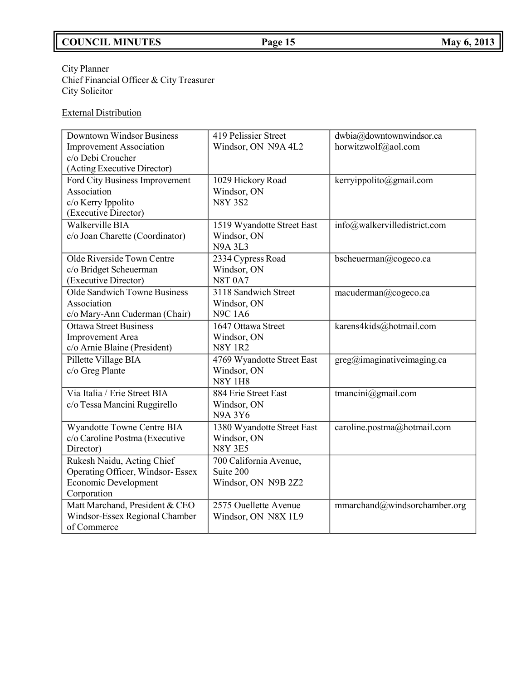# **COUNCIL MINUTES Page 15 May 6, 2013**

### City Planner Chief Financial Officer & City Treasurer City Solicitor

# External Distribution

| <b>Downtown Windsor Business</b>              | 419 Pelissier Street             | dwbia@downtownwindsor.ca                         |
|-----------------------------------------------|----------------------------------|--------------------------------------------------|
| <b>Improvement Association</b>                | Windsor, ON N9A 4L2              | horwitzwolf@aol.com                              |
| c/o Debi Croucher                             |                                  |                                                  |
| (Acting Executive Director)                   |                                  |                                                  |
| Ford City Business Improvement<br>Association | 1029 Hickory Road<br>Windsor, ON | kerryippolito@gmail.com                          |
| c/o Kerry Ippolito                            | <b>N8Y 3S2</b>                   |                                                  |
| (Executive Director)                          |                                  |                                                  |
| Walkerville BIA                               | 1519 Wyandotte Street East       | info@walkervilledistrict.com                     |
| c/o Joan Charette (Coordinator)               | Windsor, ON                      |                                                  |
|                                               | <b>N9A 3L3</b>                   |                                                  |
| Olde Riverside Town Centre                    | 2334 Cypress Road                | bscheuerman@cogeco.ca                            |
| c/o Bridget Scheuerman                        | Windsor, ON                      |                                                  |
| (Executive Director)                          | <b>N8T 0A7</b>                   |                                                  |
| Olde Sandwich Towne Business                  | 3118 Sandwich Street             | macuderman@cogeco.ca                             |
| Association                                   | Windsor, ON                      |                                                  |
| c/o Mary-Ann Cuderman (Chair)                 | <b>N9C 1A6</b>                   |                                                  |
| <b>Ottawa Street Business</b>                 | 1647 Ottawa Street               | karens4kids@hotmail.com                          |
| <b>Improvement</b> Area                       | Windsor, ON                      |                                                  |
| c/o Arnie Blaine (President)                  | <b>N8Y 1R2</b>                   |                                                  |
| Pillette Village BIA                          | 4769 Wyandotte Street East       | $\text{greg}(\widehat{a})$ imaginativeimaging.ca |
| c/o Greg Plante                               | Windsor, ON                      |                                                  |
|                                               | <b>N8Y 1H8</b>                   |                                                  |
| Via Italia / Erie Street BIA                  | 884 Erie Street East             | tmancini@gmail.com                               |
| c/o Tessa Mancini Ruggirello                  | Windsor, ON<br><b>N9A3Y6</b>     |                                                  |
| Wyandotte Towne Centre BIA                    | 1380 Wyandotte Street East       | caroline.postma@hotmail.com                      |
| c/o Caroline Postma (Executive                | Windsor, ON                      |                                                  |
| Director)                                     | <b>N8Y 3E5</b>                   |                                                  |
| Rukesh Naidu, Acting Chief                    | 700 California Avenue,           |                                                  |
| Operating Officer, Windsor-Essex              | Suite 200                        |                                                  |
| Economic Development                          | Windsor, ON N9B 2Z2              |                                                  |
| Corporation                                   |                                  |                                                  |
| Matt Marchand, President & CEO                | 2575 Ouellette Avenue            | mmarchand@windsorchamber.org                     |
| Windsor-Essex Regional Chamber                | Windsor, ON N8X 1L9              |                                                  |
| of Commerce                                   |                                  |                                                  |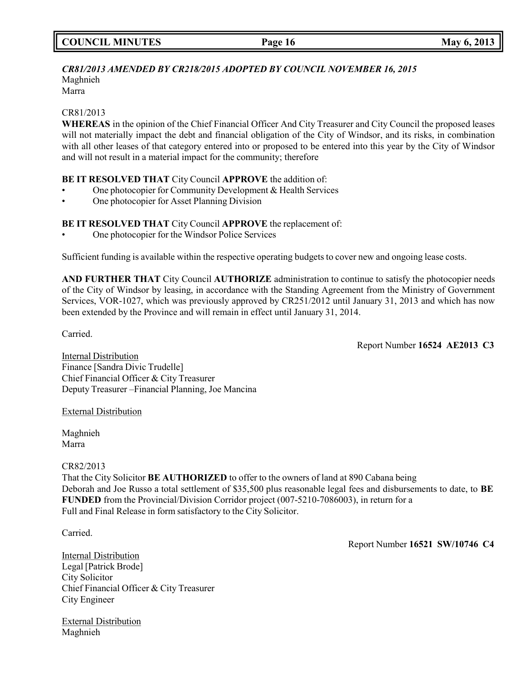### *CR81/2013 AMENDED BY CR218/2015 ADOPTED BY COUNCIL NOVEMBER 16, 2015* Maghnieh

Marra

# CR81/2013

**WHEREAS** in the opinion of the Chief Financial Officer And City Treasurer and City Council the proposed leases will not materially impact the debt and financial obligation of the City of Windsor, and its risks, in combination with all other leases of that category entered into or proposed to be entered into this year by the City of Windsor and will not result in a material impact for the community; therefore

# **BE IT RESOLVED THAT** City Council **APPROVE** the addition of:

- One photocopier for Community Development & Health Services
- One photocopier for Asset Planning Division

# **BE IT RESOLVED THAT** City Council **APPROVE** the replacement of:

• One photocopier for the Windsor Police Services

Sufficient funding is available within the respective operating budgets to cover new and ongoing lease costs.

**AND FURTHER THAT** City Council **AUTHORIZE** administration to continue to satisfy the photocopier needs of the City of Windsor by leasing, in accordance with the Standing Agreement from the Ministry of Government Services, VOR-1027, which was previously approved by CR251/2012 until January 31, 2013 and which has now been extended by the Province and will remain in effect until January 31, 2014.

Carried.

Report Number **16524 AE2013 C3**

Internal Distribution Finance [Sandra Divic Trudelle] Chief Financial Officer & City Treasurer Deputy Treasurer –Financial Planning, Joe Mancina

## External Distribution

Maghnieh Marra

#### CR82/2013

That the City Solicitor **BE AUTHORIZED** to offer to the owners of land at 890 Cabana being Deborah and Joe Russo a total settlement of \$35,500 plus reasonable legal fees and disbursements to date, to **BE FUNDED** from the Provincial/Division Corridor project (007-5210-7086003), in return for a Full and Final Release in form satisfactory to the City Solicitor.

Carried.

Internal Distribution Legal [Patrick Brode] City Solicitor Chief Financial Officer & City Treasurer City Engineer

External Distribution Maghnieh

Report Number **16521 SW/10746 C4**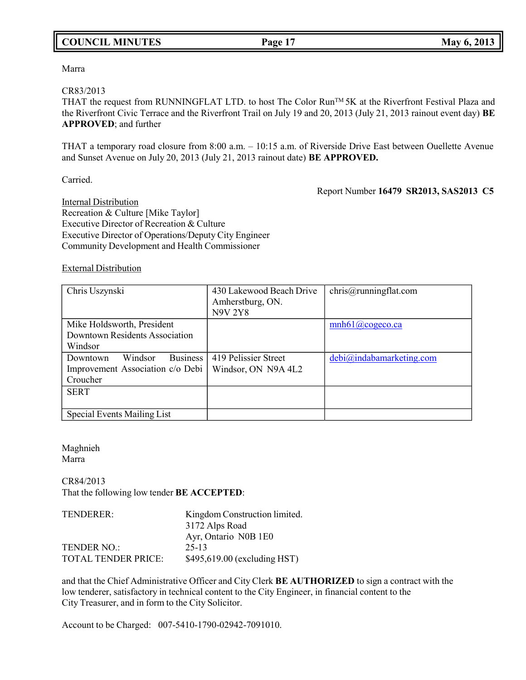# **COUNCIL MINUTES Page 17 May 6, 2013**

Marra

#### CR83/2013

THAT the request from RUNNINGFLAT LTD. to host The Color RunTM 5K at the Riverfront Festival Plaza and the Riverfront Civic Terrace and the Riverfront Trail on July 19 and 20, 2013 (July 21, 2013 rainout event day) **BE APPROVED**; and further

THAT a temporary road closure from 8:00 a.m. – 10:15 a.m. of Riverside Drive East between Ouellette Avenue and Sunset Avenue on July 20, 2013 (July 21, 2013 rainout date) **BE APPROVED.**

Carried.

Report Number **16479 SR2013, SAS2013 C5**

Internal Distribution Recreation & Culture [Mike Taylor] Executive Director of Recreation & Culture Executive Director of Operations/Deputy City Engineer Community Development and Health Commissioner

### External Distribution

| Chris Uszynski                         | 430 Lakewood Beach Drive<br>Amherstburg, ON.<br><b>N9V 2Y8</b> | chris@runningflat.com          |
|----------------------------------------|----------------------------------------------------------------|--------------------------------|
| Mike Holdsworth, President             |                                                                | $mnh61$ ( <i>a</i> ) cogeco.ca |
| <b>Downtown Residents Association</b>  |                                                                |                                |
| Windsor                                |                                                                |                                |
| <b>Business</b><br>Windsor<br>Downtown | 419 Pelissier Street                                           | debi@indabamarketing.com       |
| Improvement Association c/o Debi       | Windsor, ON N9A 4L2                                            |                                |
| Croucher                               |                                                                |                                |
| <b>SERT</b>                            |                                                                |                                |
|                                        |                                                                |                                |
| Special Events Mailing List            |                                                                |                                |

### Maghnieh Marra

CR84/2013 That the following low tender **BE ACCEPTED**:

| TENDERER:           | Kingdom Construction limited. |
|---------------------|-------------------------------|
|                     | 3172 Alps Road                |
|                     | Ayr, Ontario N0B 1E0          |
| <b>TENDER NO.:</b>  | 25-13                         |
| TOTAL TENDER PRICE: | \$495,619.00 (excluding HST)  |

and that the Chief Administrative Officer and City Clerk **BE AUTHORIZED** to sign a contract with the low tenderer, satisfactory in technical content to the City Engineer, in financial content to the City Treasurer, and in form to the City Solicitor.

Account to be Charged: 007-5410-1790-02942-7091010.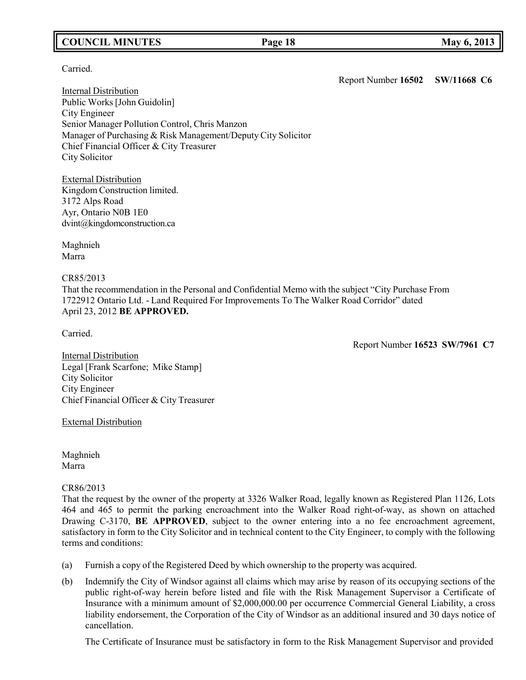# **COUNCIL MINUTES Page 18 May 6, 2013**

Carried.

Report Number **16502 SW/11668 C6**

Internal Distribution Public Works [John Guidolin] City Engineer Senior Manager Pollution Control, Chris Manzon Manager of Purchasing & Risk Management/Deputy City Solicitor Chief Financial Officer & City Treasurer City Solicitor

External Distribution Kingdom Construction limited. 3172 Alps Road Ayr, Ontario N0B 1E0 [dvint@kingdomconstruction.ca](mailto:dvint@kingdomconstruction.ca)

Maghnieh Marra

CR85/2013

That the recommendation in the Personal and Confidential Memo with the subject "City Purchase From 1722912 Ontario Ltd. - Land Required For Improvements To The Walker Road Corridor" dated April 23, 2012 **BE APPROVED.**

Carried.

Report Number **16523 SW/7961 C7**

Internal Distribution Legal [Frank Scarfone; Mike Stamp] City Solicitor City Engineer Chief Financial Officer & City Treasurer

## External Distribution

Maghnieh Marra

## CR86/2013

That the request by the owner of the property at 3326 Walker Road, legally known as Registered Plan 1126, Lots 464 and 465 to permit the parking encroachment into the Walker Road right-of-way, as shown on attached Drawing C-3170, **BE APPROVED**, subject to the owner entering into a no fee encroachment agreement, satisfactory in form to the City Solicitor and in technical content to the City Engineer, to comply with the following terms and conditions:

- (a) Furnish a copy of the Registered Deed by which ownership to the property was acquired.
- (b) Indemnify the City of Windsor against all claims which may arise by reason of its occupying sections of the public right-of-way herein before listed and file with the Risk Management Supervisor a Certificate of Insurance with a minimum amount of \$2,000,000.00 per occurrence Commercial General Liability, a cross liability endorsement, the Corporation of the City of Windsor as an additional insured and 30 days notice of cancellation.

The Certificate of Insurance must be satisfactory in form to the Risk Management Supervisor and provided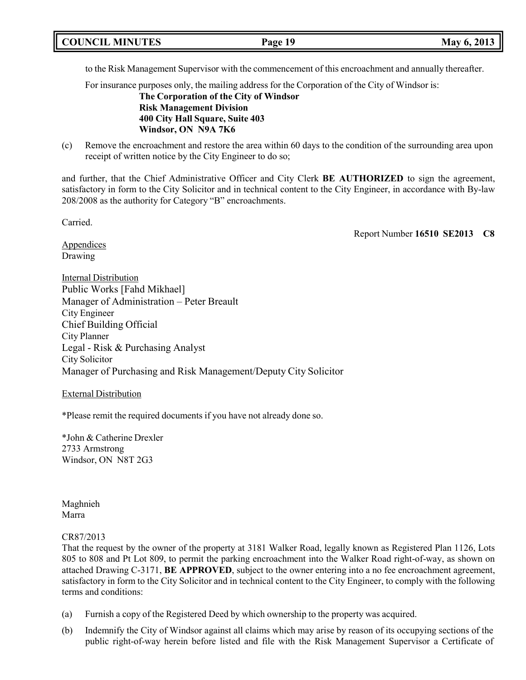|  | <b>COUNCIL MINUTES</b> | Page 19 | May 6, 2013 |
|--|------------------------|---------|-------------|
|--|------------------------|---------|-------------|

to the Risk Management Supervisor with the commencement of this encroachment and annually thereafter.

For insurance purposes only, the mailing address for the Corporation of the City of Windsor is:

**The Corporation of the City of Windsor Risk Management Division 400 City Hall Square, Suite 403 Windsor, ON N9A 7K6**

(c) Remove the encroachment and restore the area within 60 days to the condition of the surrounding area upon receipt of written notice by the City Engineer to do so;

and further, that the Chief Administrative Officer and City Clerk **BE AUTHORIZED** to sign the agreement, satisfactory in form to the City Solicitor and in technical content to the City Engineer, in accordance with By-law 208/2008 as the authority for Category "B" encroachments.

Carried.

Report Number **16510 SE2013 C8**

**Appendices** Drawing

Internal Distribution Public Works [Fahd Mikhael] Manager of Administration – Peter Breault City Engineer Chief Building Official City Planner Legal - Risk & Purchasing Analyst City Solicitor Manager of Purchasing and Risk Management/Deputy City Solicitor

#### External Distribution

\*Please remit the required documents if you have not already done so.

\*John & Catherine Drexler 2733 Armstrong Windsor, ON N8T 2G3

Maghnieh Marra

#### CR87/2013

That the request by the owner of the property at 3181 Walker Road, legally known as Registered Plan 1126, Lots 805 to 808 and Pt Lot 809, to permit the parking encroachment into the Walker Road right-of-way, as shown on attached Drawing C-3171, **BE APPROVED**, subject to the owner entering into a no fee encroachment agreement, satisfactory in form to the City Solicitor and in technical content to the City Engineer, to comply with the following terms and conditions:

- (a) Furnish a copy of the Registered Deed by which ownership to the property was acquired.
- (b) Indemnify the City of Windsor against all claims which may arise by reason of its occupying sections of the public right-of-way herein before listed and file with the Risk Management Supervisor a Certificate of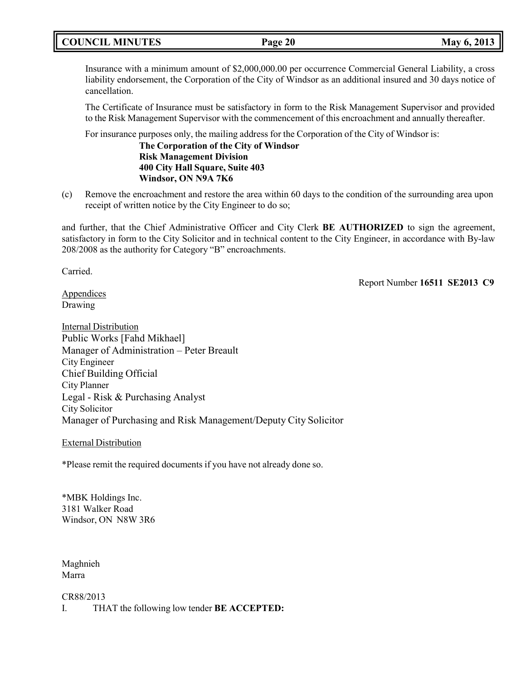# **COUNCIL MINUTES Page 20 May 6, 2013**

Insurance with a minimum amount of \$2,000,000.00 per occurrence Commercial General Liability, a cross liability endorsement, the Corporation of the City of Windsor as an additional insured and 30 days notice of cancellation.

The Certificate of Insurance must be satisfactory in form to the Risk Management Supervisor and provided to the Risk Management Supervisor with the commencement of this encroachment and annually thereafter.

For insurance purposes only, the mailing address for the Corporation of the City of Windsor is:

**The Corporation of the City of Windsor Risk Management Division 400 City Hall Square, Suite 403 Windsor, ON N9A 7K6**

(c) Remove the encroachment and restore the area within 60 days to the condition of the surrounding area upon receipt of written notice by the City Engineer to do so;

and further, that the Chief Administrative Officer and City Clerk **BE AUTHORIZED** to sign the agreement, satisfactory in form to the City Solicitor and in technical content to the City Engineer, in accordance with By-law 208/2008 as the authority for Category "B" encroachments.

Carried.

Report Number **16511 SE2013 C9**

**Appendices** Drawing

Internal Distribution Public Works [Fahd Mikhael] Manager of Administration – Peter Breault City Engineer Chief Building Official City Planner Legal - Risk & Purchasing Analyst City Solicitor Manager of Purchasing and Risk Management/Deputy City Solicitor

External Distribution

\*Please remit the required documents if you have not already done so.

\*MBK Holdings Inc. 3181 Walker Road Windsor, ON N8W 3R6

Maghnieh Marra

CR88/2013 I. THAT the following low tender **BE ACCEPTED:**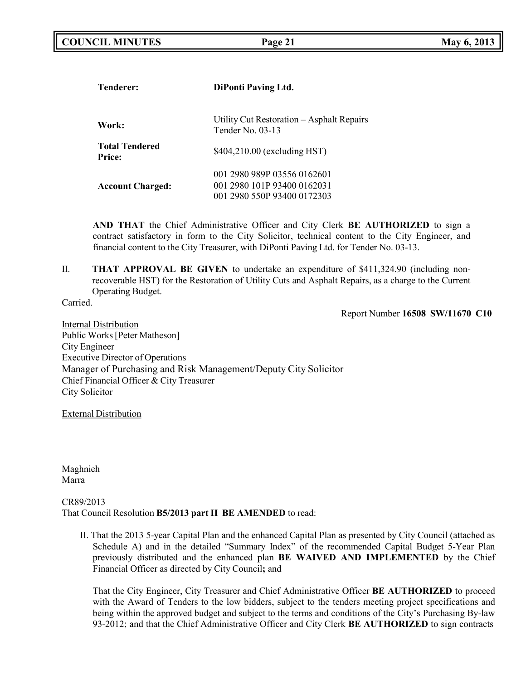| <b>Tenderer:</b>                       | <b>DiPonti Paving Ltd.</b>                                                                |  |  |
|----------------------------------------|-------------------------------------------------------------------------------------------|--|--|
| Work:                                  | Utility Cut Restoration – Asphalt Repairs<br>Tender No. $03-13$                           |  |  |
| <b>Total Tendered</b><br><b>Price:</b> | \$404,210.00 (excluding HST)                                                              |  |  |
| <b>Account Charged:</b>                | 001 2980 989P 03556 0162601<br>001 2980 101P 93400 0162031<br>001 2980 550P 93400 0172303 |  |  |

**AND THAT** the Chief Administrative Officer and City Clerk **BE AUTHORIZED** to sign a contract satisfactory in form to the City Solicitor, technical content to the City Engineer, and financial content to the City Treasurer, with DiPonti Paving Ltd. for Tender No. 03-13.

II. **THAT APPROVAL BE GIVEN** to undertake an expenditure of \$411,324.90 (including nonrecoverable HST) for the Restoration of Utility Cuts and Asphalt Repairs, as a charge to the Current Operating Budget.

Carried.

Report Number **16508 SW/11670 C10**

Internal Distribution Public Works[Peter Matheson] City Engineer Executive Director of Operations Manager of Purchasing and Risk Management/Deputy City Solicitor Chief Financial Officer & City Treasurer City Solicitor

External Distribution

Maghnieh Marra

### CR89/2013 That Council Resolution **B5/2013 part II BE AMENDED** to read:

II. That the 2013 5-year Capital Plan and the enhanced Capital Plan as presented by City Council (attached as Schedule A) and in the detailed "Summary Index" of the recommended Capital Budget 5-Year Plan previously distributed and the enhanced plan **BE WAIVED AND IMPLEMENTED** by the Chief Financial Officer as directed by City Council**;** and

That the City Engineer, City Treasurer and Chief Administrative Officer **BE AUTHORIZED** to proceed with the Award of Tenders to the low bidders, subject to the tenders meeting project specifications and being within the approved budget and subject to the terms and conditions of the City's Purchasing By-law 93-2012; and that the Chief Administrative Officer and City Clerk **BE AUTHORIZED** to sign contracts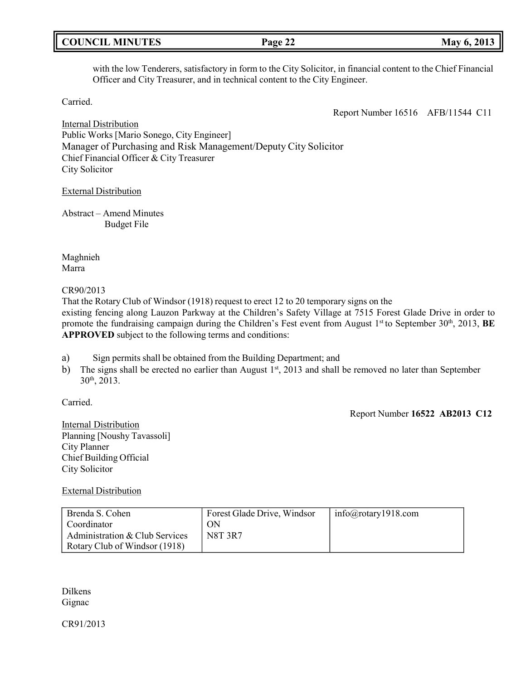|  | <b>COUNCIL MINUTES</b> |
|--|------------------------|
|--|------------------------|

with the low Tenderers, satisfactory in form to the City Solicitor, in financial content to the Chief Financial Officer and City Treasurer, and in technical content to the City Engineer.

Carried.

Report Number 16516 AFB/11544 C11

**COUNCIL EXECUTE: Page 22 May** 6, 2013

Internal Distribution Public Works [Mario Sonego, City Engineer] Manager of Purchasing and Risk Management/Deputy City Solicitor Chief Financial Officer & City Treasurer City Solicitor

### External Distribution

Abstract – Amend Minutes Budget File

Maghnieh Marra

#### CR90/2013

That the Rotary Club of Windsor (1918) request to erect 12 to 20 temporary signs on the existing fencing along Lauzon Parkway at the Children's Safety Village at 7515 Forest Glade Drive in order to promote the fundraising campaign during the Children's Fest event from August 1st to September 30th, 2013, **BE APPROVED** subject to the following terms and conditions:

- a) Sign permits shall be obtained from the Building Department; and
- b) The signs shall be erected no earlier than August 1<sup>st</sup>, 2013 and shall be removed no later than September 30th , 2013.

Carried.

Report Number **16522 AB2013 C12**

Internal Distribution Planning [Noushy Tavassoli] City Planner Chief Building Official City Solicitor

External Distribution

| Brenda S. Cohen                | Forest Glade Drive, Windsor | $info(\hat{\omega})$ rotary 1918.com |
|--------------------------------|-----------------------------|--------------------------------------|
| Coordinator                    | ON                          |                                      |
| Administration & Club Services | <b>N8T 3R7</b>              |                                      |
| Rotary Club of Windsor (1918)  |                             |                                      |

Dilkens Gignac

CR91/2013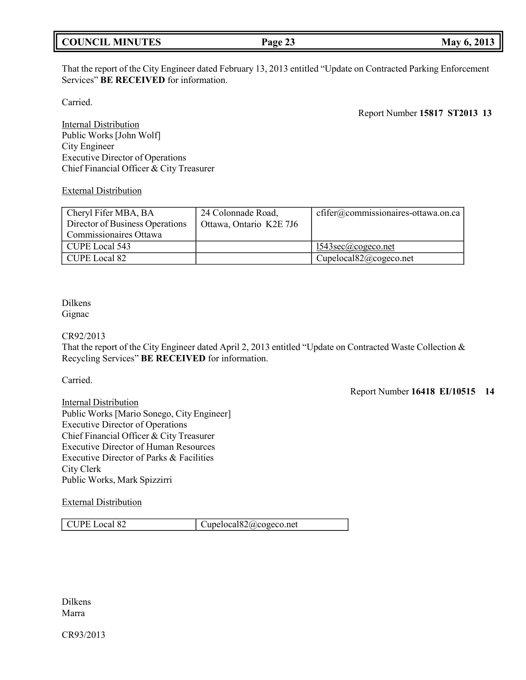|  |  | <b>COUNCIL MINUTES</b> |
|--|--|------------------------|
|  |  |                        |

That the report of the City Engineer dated February 13, 2013 entitled "Update on Contracted Parking Enforcement Services" **BE RECEIVED** for information.

Carried.

Report Number **15817 ST2013 13**

Internal Distribution Public Works [John Wolf] City Engineer Executive Director of Operations Chief Financial Officer & City Treasurer

External Distribution

| Cheryl Fifer MBA, BA            | 24 Colonnade Road,      | $cfifer@commissionaires-ottawa. on. ca$       |
|---------------------------------|-------------------------|-----------------------------------------------|
| Director of Business Operations | Ottawa, Ontario K2E 7J6 |                                               |
| Commissionaires Ottawa          |                         |                                               |
| CUPE Local 543                  |                         | $1543\sec(a)\csc$ or example 1543sec $\alpha$ |
| CUPE Local 82                   |                         | Cupelocal $82$ @cogeco.net                    |

### Dilkens Gignac

CR92/2013

That the report of the City Engineer dated April 2, 2013 entitled "Update on Contracted Waste Collection & Recycling Services" **BE RECEIVED** for information.

Carried.

Report Number **16418 EI/10515 14**

Internal Distribution Public Works [Mario Sonego, City Engineer] Executive Director of Operations Chief Financial Officer & City Treasurer Executive Director of Human Resources Executive Director of Parks & Facilities City Clerk Public Works, Mark Spizzirri

External Distribution

CUPE Local 82 [Cupelocal82@cogeco.net](mailto:Cupelocal82@cogeco.net)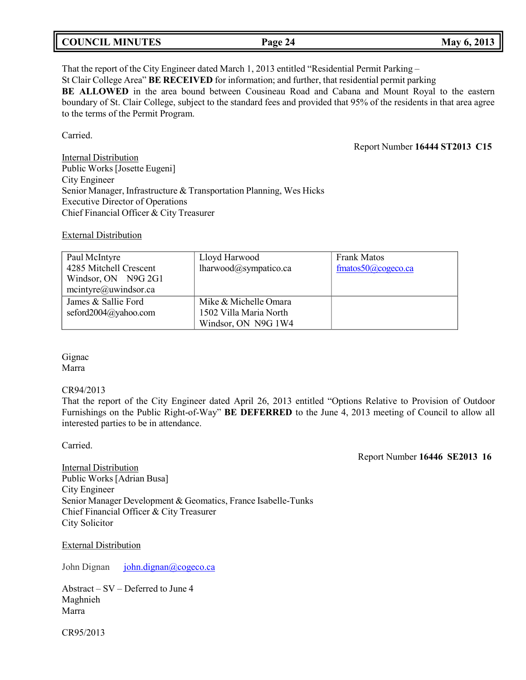| <b>COUNCIL MINUTES</b><br>May 6, 2013<br>Page 24 |  |
|--------------------------------------------------|--|
|--------------------------------------------------|--|

That the report of the City Engineer dated March 1, 2013 entitled "Residential Permit Parking – St Clair College Area" **BE RECEIVED** for information; and further, that residential permit parking **BE ALLOWED** in the area bound between Cousineau Road and Cabana and Mount Royal to the eastern boundary of St. Clair College, subject to the standard fees and provided that 95% of the residents in that area agree to the terms of the Permit Program.

Carried.

Report Number **16444 ST2013 C15**

Internal Distribution Public Works [Josette Eugeni] City Engineer Senior Manager, Infrastructure & Transportation Planning, Wes Hicks Executive Director of Operations Chief Financial Officer & City Treasurer

External Distribution

| Paul McIntyre           | Lloyd Harwood          | <b>Frank Matos</b>     |
|-------------------------|------------------------|------------------------|
| 4285 Mitchell Crescent  | lharwood@sympatico.ca  | fmatos50 $@$ cogeco.ca |
| Windsor, ON N9G 2G1     |                        |                        |
| $m$ cintyre@uwindsor.ca |                        |                        |
| James & Sallie Ford     | Mike & Michelle Omara  |                        |
| seford2004@yahoo.com    | 1502 Villa Maria North |                        |
|                         | Windsor, ON N9G 1W4    |                        |

Gignac Marra

#### CR94/2013

That the report of the City Engineer dated April 26, 2013 entitled "Options Relative to Provision of Outdoor Furnishings on the Public Right-of-Way" **BE DEFERRED** to the June 4, 2013 meeting of Council to allow all interested parties to be in attendance.

Carried.

Report Number **16446 SE2013 16**

**Internal Distribution** Public Works [Adrian Busa] City Engineer Senior Manager Development & Geomatics, France Isabelle-Tunks Chief Financial Officer & City Treasurer City Solicitor

External Distribution

John Dignan [john.dignan@cogeco.ca](mailto:john.dignan@cogeco.ca)

Abstract – SV – Deferred to June 4 Maghnieh Marra

CR95/2013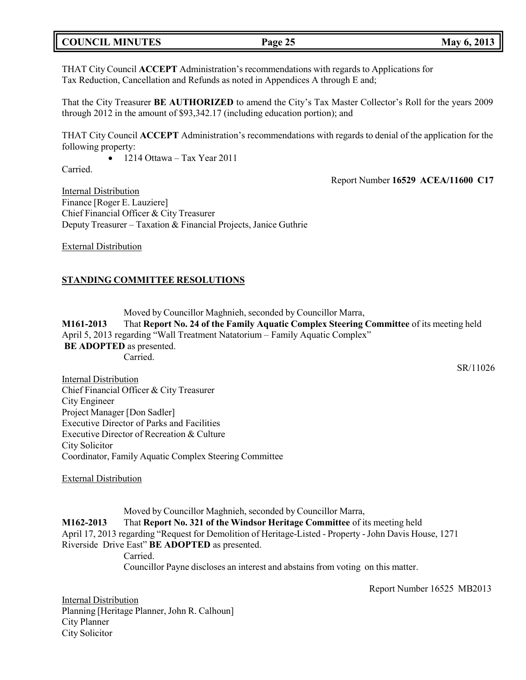# **COUNCIL MINUTES Page 25 May 6, 2013**

THAT City Council **ACCEPT** Administration's recommendations with regards to Applications for Tax Reduction, Cancellation and Refunds as noted in Appendices A through E and;

That the City Treasurer **BE AUTHORIZED** to amend the City's Tax Master Collector's Roll for the years 2009 through 2012 in the amount of \$93,342.17 (including education portion); and

THAT City Council **ACCEPT** Administration's recommendations with regards to denial of the application for the following property:

 $\bullet$  1214 Ottawa – Tax Year 2011

Carried.

Report Number **16529 ACEA/11600 C17**

Internal Distribution Finance [Roger E. Lauziere] Chief Financial Officer & City Treasurer Deputy Treasurer – Taxation & Financial Projects, Janice Guthrie

External Distribution

#### **STANDING COMMITTEE RESOLUTIONS**

Moved by Councillor Maghnieh, seconded by Councillor Marra, **M161-2013** That **Report No. 24 of the Family Aquatic Complex Steering Committee** of its meeting held April 5, 2013 regarding "Wall Treatment Natatorium – Family Aquatic Complex" **BE ADOPTED** as presented. Carried.

Internal Distribution Chief Financial Officer & City Treasurer City Engineer Project Manager [Don Sadler] Executive Director of Parks and Facilities Executive Director of Recreation & Culture City Solicitor Coordinator, Family Aquatic Complex Steering Committee

External Distribution

Moved by Councillor Maghnieh, seconded by Councillor Marra, **M162-2013** That **Report No. 321 of the Windsor Heritage Committee** of its meeting held April 17, 2013 regarding "Request for Demolition of Heritage-Listed - Property -John Davis House, 1271 Riverside Drive East" **BE ADOPTED** as presented. Carried. Councillor Payne discloses an interest and abstains from voting on this matter.

Report Number 16525 MB2013

Internal Distribution Planning [Heritage Planner, John R. Calhoun] City Planner City Solicitor

SR/11026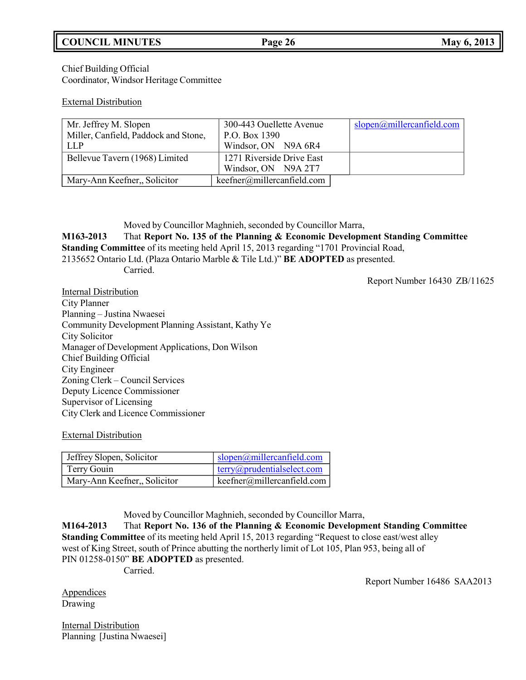# **COUNCIL MINUTES Page 26 May 6, 2013**

Chief Building Official Coordinator, Windsor Heritage Committee

#### External Distribution

| Mr. Jeffrey M. Slopen                | 300-443 Ouellette Avenue     | slopen@miller can field.com |
|--------------------------------------|------------------------------|-----------------------------|
| Miller, Canfield, Paddock and Stone, | P.O. Box 1390                |                             |
| LLP                                  | Windsor, ON N9A 6R4          |                             |
| Bellevue Tavern (1968) Limited       | 1271 Riverside Drive East    |                             |
|                                      | Windsor, ON N9A 2T7          |                             |
| Mary-Ann Keefner, Solicitor          | keefner@miller can field.com |                             |

Moved by Councillor Maghnieh, seconded by Councillor Marra, **M163-2013** That **Report No. 135 of the Planning & Economic Development Standing Committee Standing Committee** of its meeting held April 15, 2013 regarding "1701 Provincial Road, 2135652 Ontario Ltd. (Plaza Ontario Marble & Tile Ltd.)" **BE ADOPTED** as presented. Carried.

Report Number 16430 ZB/11625

Internal Distribution City Planner Planning – Justina Nwaesei Community Development Planning Assistant, Kathy Ye City Solicitor Manager of Development Applications, Don Wilson Chief Building Official City Engineer Zoning Clerk – Council Services Deputy Licence Commissioner Supervisor of Licensing City Clerk and Licence Commissioner

External Distribution

| Jeffrey Slopen, Solicitor    | $\log_{10}(a)$ millercanfield.com    |
|------------------------------|--------------------------------------|
| Terry Gouin                  | $terry(\omega)$ prudentialselect.com |
| Mary-Ann Keefner,, Solicitor | $keefner(\omega)$ millercanfield.com |

Moved by Councillor Maghnieh, seconded by Councillor Marra,

**M164-2013** That **Report No. 136 of the Planning & Economic Development Standing Committee Standing Committee** of its meeting held April 15, 2013 regarding "Request to close east/west alley west of King Street, south of Prince abutting the northerly limit of Lot 105, Plan 953, being all of PIN 01258-0150" **BE ADOPTED** as presented.

Carried.

Report Number 16486 SAA2013

**Appendices** Drawing

Internal Distribution Planning [Justina Nwaesei]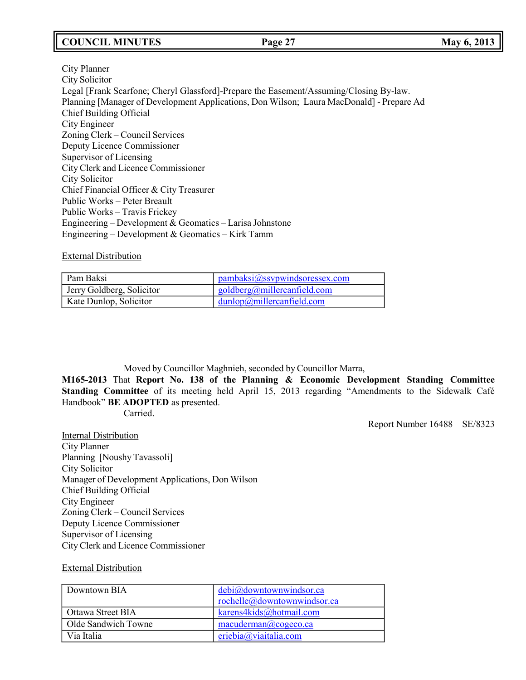# **COUNCIL MINUTES Page 27 May 6, 2013**

City Planner City Solicitor Legal [Frank Scarfone; Cheryl Glassford]-Prepare the Easement/Assuming/Closing By-law. Planning [Manager of Development Applications, Don Wilson; Laura MacDonald] - Prepare Ad Chief Building Official City Engineer Zoning Clerk – Council Services Deputy Licence Commissioner Supervisor of Licensing City Clerk and Licence Commissioner City Solicitor Chief Financial Officer & City Treasurer Public Works – Peter Breault Public Works – Travis Frickey Engineering – Development & Geomatics – Larisa Johnstone Engineering – Development & Geomatics – Kirk Tamm

#### External Distribution

| Pam Baksi                 | panbaksi@ssvpwindsoressex.com           |
|---------------------------|-----------------------------------------|
| Jerry Goldberg, Solicitor | goldberg@millercanfield.com             |
| Kate Dunlop, Solicitor    | $\frac{1}{2}$ dunlop@millercanfield.com |

Moved by Councillor Maghnieh, seconded by Councillor Marra,

**M165-2013** That **Report No. 138 of the Planning & Economic Development Standing Committee Standing Committee** of its meeting held April 15, 2013 regarding "Amendments to the Sidewalk Café Handbook" **BE ADOPTED** as presented.

Carried.

Report Number 16488 SE/8323

**Internal Distribution** City Planner Planning [Noushy Tavassoli] City Solicitor Manager of Development Applications, Don Wilson Chief Building Official City Engineer Zoning Clerk – Council Services Deputy Licence Commissioner Supervisor of Licensing City Clerk and Licence Commissioner

#### External Distribution

| Downtown BIA        | debi@downtownwindsor.ca     |
|---------------------|-----------------------------|
|                     | rochelle@downtownwindsor.ca |
| Ottawa Street BIA   | karens4kids@hotmail.com     |
| Olde Sandwich Towne | macuderman@cogeco.ca        |
| Via Italia          | eriebia@viaitalia.com       |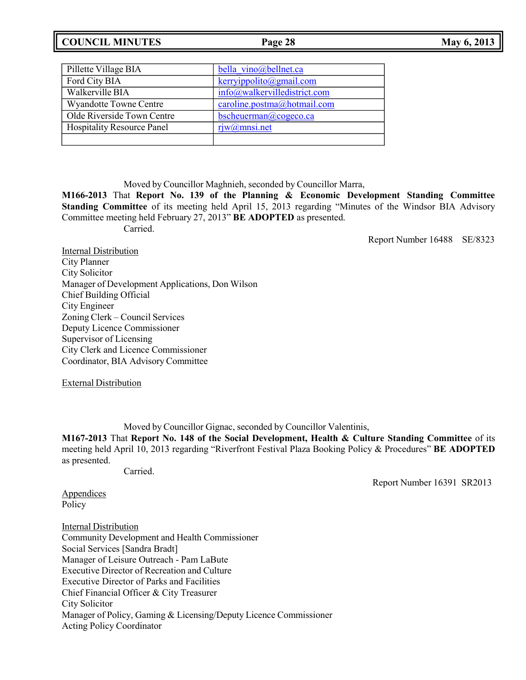| <b>COUNCIL MINUTES</b> | Page 28 | May 6, 2013 |
|------------------------|---------|-------------|
|                        |         |             |

| <b>May 6, 2013</b> |
|--------------------|
|--------------------|

| Pillette Village BIA              | bella vino@bellnet.ca        |
|-----------------------------------|------------------------------|
| Ford City BIA                     | $k$ erryippolito@gmail.com   |
| Walkerville BIA                   | info@walkervilledistrict.com |
| <b>Wyandotte Towne Centre</b>     | caroline.postma@hotmail.com  |
| Olde Riverside Town Centre        | bscheuerman@cogeco.ca        |
| <b>Hospitality Resource Panel</b> | riw@mnsi.net                 |
|                                   |                              |

Moved by Councillor Maghnieh, seconded by Councillor Marra,

**M166-2013** That **Report No. 139 of the Planning & Economic Development Standing Committee Standing Committee** of its meeting held April 15, 2013 regarding "Minutes of the Windsor BIA Advisory Committee meeting held February 27, 2013" **BE ADOPTED** as presented.

Carried.

Report Number 16488 SE/8323

Internal Distribution City Planner City Solicitor Manager of Development Applications, Don Wilson Chief Building Official City Engineer Zoning Clerk – Council Services Deputy Licence Commissioner Supervisor of Licensing City Clerk and Licence Commissioner Coordinator, BIA Advisory Committee

External Distribution

Moved by Councillor Gignac, seconded by Councillor Valentinis,

**M167-2013** That **Report No. 148 of the Social Development, Health & Culture Standing Committee** of its meeting held April 10, 2013 regarding "Riverfront Festival Plaza Booking Policy & Procedures" **BE ADOPTED** as presented.

Carried.

Report Number 16391 SR2013

**Appendices** Policy

Internal Distribution Community Development and Health Commissioner Social Services [Sandra Bradt] Manager of Leisure Outreach - Pam LaBute Executive Director of Recreation and Culture Executive Director of Parks and Facilities Chief Financial Officer & City Treasurer City Solicitor Manager of Policy, Gaming & Licensing/Deputy Licence Commissioner Acting Policy Coordinator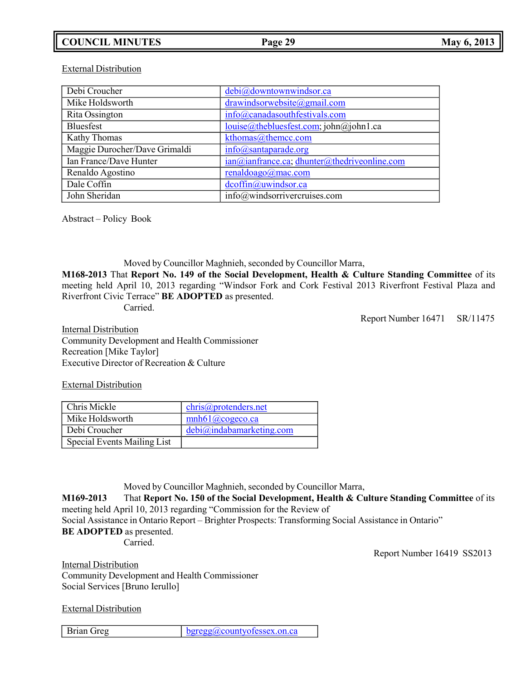# **COUNCIL MINUTES Page 29 May 6, 2013**

### External Distribution

| Debi Croucher                 | debi@downtownwindsor.ca                      |
|-------------------------------|----------------------------------------------|
| Mike Holdsworth               | drawindsorwebsite@gmail.com                  |
| Rita Ossington                | info@canadasouthfestivals.com                |
| Bluesfest                     | louise@thebluesfest.com; john@john1.ca       |
| <b>Kathy Thomas</b>           | kthomas@themcc.com                           |
| Maggie Durocher/Dave Grimaldi | $info(a)$ santaparade.org                    |
| Ian France/Dave Hunter        | ian@ianfrance.ca; dhunter@thedriveonline.com |
| Renaldo Agostino              | renaldoago@mac.com                           |
| Dale Coffin                   | dcoffin@uwindsor.ca                          |
| John Sheridan                 | info@windsorrivercruises.com                 |

Abstract – Policy Book

Moved by Councillor Maghnieh, seconded by Councillor Marra,

**M168-2013** That **Report No. 149 of the Social Development, Health & Culture Standing Committee** of its meeting held April 10, 2013 regarding "Windsor Fork and Cork Festival 2013 Riverfront Festival Plaza and Riverfront Civic Terrace" **BE ADOPTED** as presented.

Carried.

Report Number 16471 SR/11475

Internal Distribution Community Development and Health Commissioner Recreation [Mike Taylor] Executive Director of Recreation & Culture

External Distribution

| Chris Mickle                | chris@protenders.net      |
|-----------------------------|---------------------------|
| Mike Holdsworth             | $mnh61$ ( $a$ ) cogeco.ca |
| Debi Croucher               | debi@indabamarketing.com  |
| Special Events Mailing List |                           |

Moved by Councillor Maghnieh, seconded by Councillor Marra,

**M169-2013** That **Report No. 150 of the Social Development, Health & Culture Standing Committee** of its meeting held April 10, 2013 regarding "Commission for the Review of

Social Assistance in Ontario Report – Brighter Prospects: Transforming Social Assistance in Ontario" **BE ADOPTED** as presented.

Carried.

Report Number 16419 SS2013

Internal Distribution Community Development and Health Commissioner Social Services [Bruno Ierullo]

External Distribution

Brian Greg [bgregg@countyofessex.on.ca](mailto:bgregg@countyofessex.on.ca)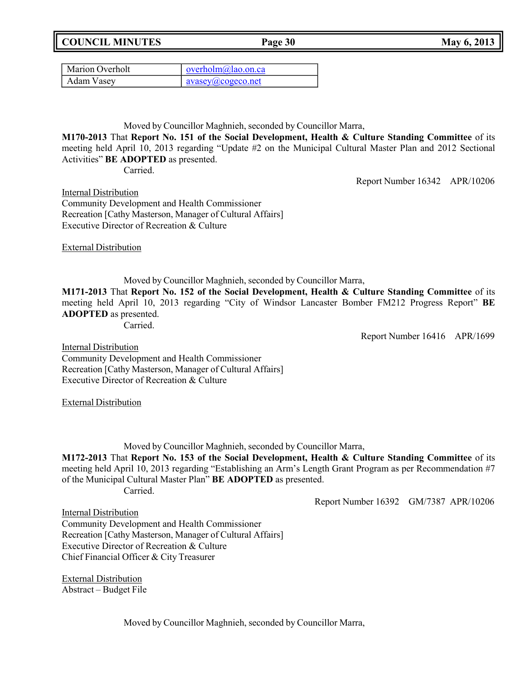**COUNCIL MINUTES Page 30 May 6, 2013**

| Marion Overholt | $overholm@lao.$ on.ca               |
|-----------------|-------------------------------------|
| Adam Vasey      | $\alpha$ avasey $\omega$ cogeco.net |

Moved by Councillor Maghnieh, seconded by Councillor Marra,

**M170-2013** That **Report No. 151 of the Social Development, Health & Culture Standing Committee** of its meeting held April 10, 2013 regarding "Update #2 on the Municipal Cultural Master Plan and 2012 Sectional Activities" **BE ADOPTED** as presented.

Carried.

Report Number 16342 APR/10206

Internal Distribution Community Development and Health Commissioner Recreation [Cathy Masterson, Manager of Cultural Affairs] Executive Director of Recreation & Culture

External Distribution

Moved by Councillor Maghnieh, seconded by Councillor Marra,

**M171-2013** That **Report No. 152 of the Social Development, Health & Culture Standing Committee** of its meeting held April 10, 2013 regarding "City of Windsor Lancaster Bomber FM212 Progress Report" **BE ADOPTED** as presented.

Carried.

Report Number 16416 APR/1699

Internal Distribution Community Development and Health Commissioner Recreation [Cathy Masterson, Manager of Cultural Affairs] Executive Director of Recreation & Culture

External Distribution

Moved by Councillor Maghnieh, seconded by Councillor Marra,

**M172-2013** That **Report No. 153 of the Social Development, Health & Culture Standing Committee** of its meeting held April 10, 2013 regarding "Establishing an Arm's Length Grant Program as per Recommendation #7 of the Municipal Cultural Master Plan" **BE ADOPTED** as presented. Carried.

Report Number 16392 GM/7387 APR/10206

Internal Distribution

Community Development and Health Commissioner Recreation [Cathy Masterson, Manager of Cultural Affairs] Executive Director of Recreation & Culture Chief Financial Officer & City Treasurer

External Distribution Abstract – Budget File

Moved by Councillor Maghnieh, seconded by Councillor Marra,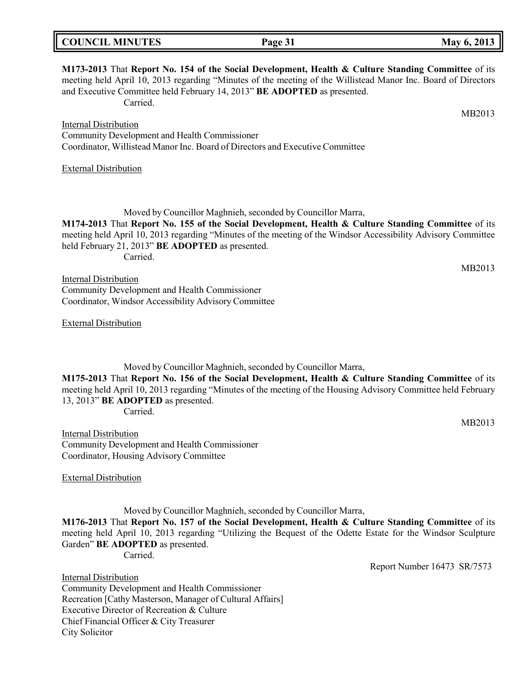| <b>COUNCIL MINUTES</b> | Page 31 | May 6, 2013 |
|------------------------|---------|-------------|

| M173-2013 That Report No. 154 of the Social Development, Health & Culture Standing Committee of its<br>meeting held April 10, 2013 regarding "Minutes of the meeting of the Willistead Manor Inc. Board of Directors<br>and Executive Committee held February 14, 2013" BE ADOPTED as presented.<br>Carried.                                        |  |
|-----------------------------------------------------------------------------------------------------------------------------------------------------------------------------------------------------------------------------------------------------------------------------------------------------------------------------------------------------|--|
| MB2013                                                                                                                                                                                                                                                                                                                                              |  |
| <b>Internal Distribution</b>                                                                                                                                                                                                                                                                                                                        |  |
| Community Development and Health Commissioner                                                                                                                                                                                                                                                                                                       |  |
| Coordinator, Willistead Manor Inc. Board of Directors and Executive Committee                                                                                                                                                                                                                                                                       |  |
| <b>External Distribution</b>                                                                                                                                                                                                                                                                                                                        |  |
| Moved by Councillor Maghnieh, seconded by Councillor Marra,<br>M174-2013 That Report No. 155 of the Social Development, Health & Culture Standing Committee of its<br>meeting held April 10, 2013 regarding "Minutes of the meeting of the Windsor Accessibility Advisory Committee<br>held February 21, 2013" BE ADOPTED as presented.<br>Carried. |  |
| MB2013                                                                                                                                                                                                                                                                                                                                              |  |
| <b>Internal Distribution</b><br>Community Development and Health Commissioner                                                                                                                                                                                                                                                                       |  |
| Coordinator, Windsor Accessibility Advisory Committee                                                                                                                                                                                                                                                                                               |  |
|                                                                                                                                                                                                                                                                                                                                                     |  |
| <b>External Distribution</b>                                                                                                                                                                                                                                                                                                                        |  |
|                                                                                                                                                                                                                                                                                                                                                     |  |

Moved by Councillor Maghnieh, seconded by Councillor Marra, **M175-2013** That **Report No. 156 of the Social Development, Health & Culture Standing Committee** of its meeting held April 10, 2013 regarding "Minutes of the meeting of the Housing Advisory Committee held February 13, 2013" **BE ADOPTED** as presented.

Carried.

Internal Distribution Community Development and Health Commissioner Coordinator, Housing Advisory Committee

External Distribution

Moved by Councillor Maghnieh, seconded by Councillor Marra,

**M176-2013** That **Report No. 157 of the Social Development, Health & Culture Standing Committee** of its meeting held April 10, 2013 regarding "Utilizing the Bequest of the Odette Estate for the Windsor Sculpture Garden" **BE ADOPTED** as presented.

Carried.

Report Number 16473 SR/7573

MB2013

Internal Distribution Community Development and Health Commissioner Recreation [Cathy Masterson, Manager of Cultural Affairs] Executive Director of Recreation & Culture Chief Financial Officer & City Treasurer City Solicitor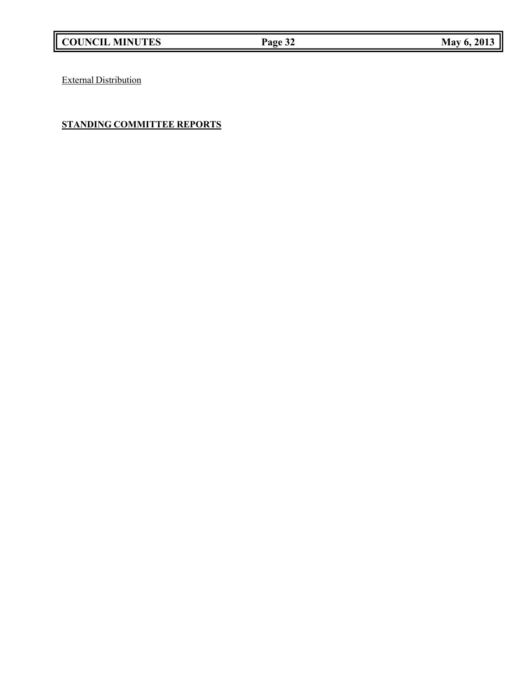External Distribution

# **STANDING COMMITTEE REPORTS**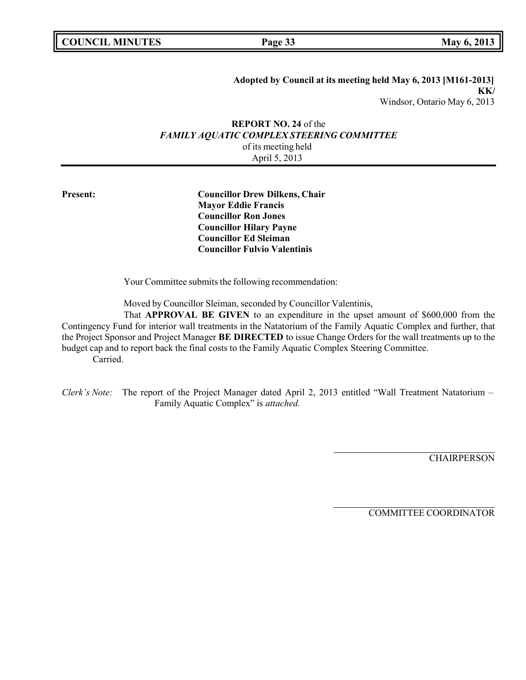**Page 33 May** 6, 2013

**Adopted by Council at its meeting held May 6, 2013 [M161-2013] KK/** Windsor, Ontario May 6, 2013

# **REPORT NO. 24** of the *FAMILY AQUATIC COMPLEX STEERING COMMITTEE* of its meeting held April 5, 2013

**Present: Councillor Drew Dilkens, Chair Mayor Eddie Francis Councillor Ron Jones Councillor Hilary Payne Councillor Ed Sleiman Councillor Fulvio Valentinis**

Your Committee submits the following recommendation:

Moved by Councillor Sleiman, seconded by Councillor Valentinis,

That **APPROVAL BE GIVEN** to an expenditure in the upset amount of \$600,000 from the Contingency Fund for interior wall treatments in the Natatorium of the Family Aquatic Complex and further, that the Project Sponsor and Project Manager **BE DIRECTED** to issue Change Orders for the wall treatments up to the budget cap and to report back the final costs to the Family Aquatic Complex Steering Committee. Carried.

*Clerk's Note:* The report of the Project Manager dated April 2, 2013 entitled "Wall Treatment Natatorium – Family Aquatic Complex" is *attached.*

**CHAIRPERSON** 

COMMITTEE COORDINATOR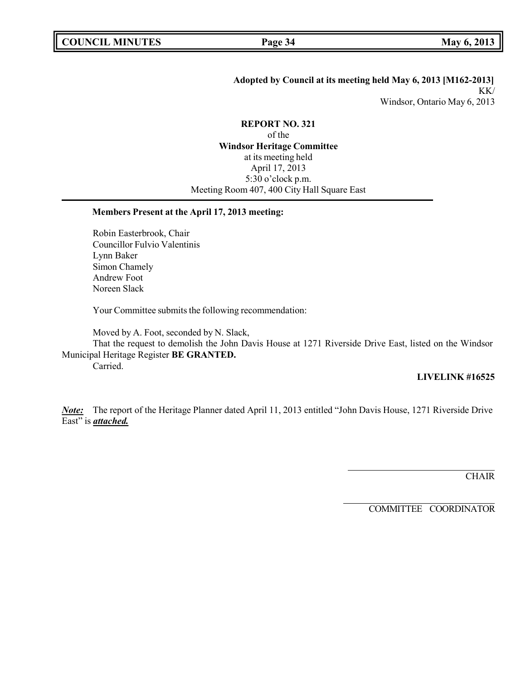# **Adopted by Council at its meeting held May 6, 2013 [M162-2013]** KK/ Windsor, Ontario May 6, 2013

## **REPORT NO. 321**

of the **Windsor Heritage Committee** at its meeting held April 17, 2013 5:30 o'clock p.m. Meeting Room 407, 400 City Hall Square East

# **Members Present at the April 17, 2013 meeting:**

Robin Easterbrook, Chair Councillor Fulvio Valentinis Lynn Baker Simon Chamely Andrew Foot Noreen Slack

Your Committee submits the following recommendation:

Moved by A. Foot, seconded by N. Slack,

That the request to demolish the John Davis House at 1271 Riverside Drive East, listed on the Windsor Municipal Heritage Register **BE GRANTED.**

Carried.

# **LIVELINK #16525**

*Note:* The report of the Heritage Planner dated April 11, 2013 entitled "John Davis House, 1271 Riverside Drive East" is *attached.* 

**CHAIR** 

COMMITTEE COORDINATOR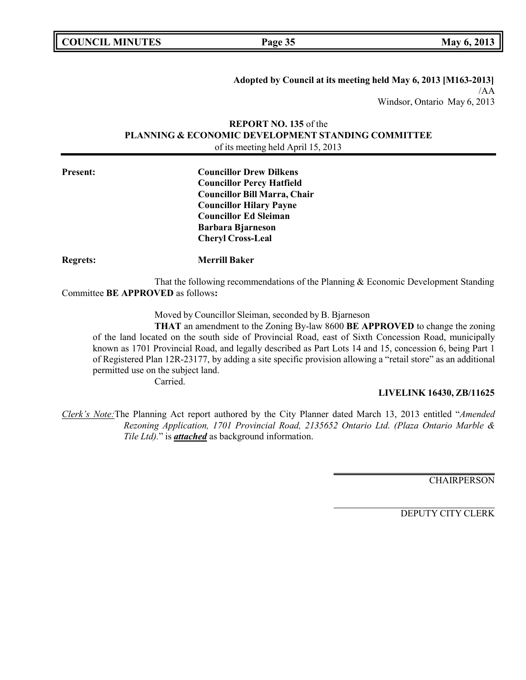| <b>COUNCIL MINUTES</b> |  |
|------------------------|--|
|------------------------|--|

**COUNCIL MINUTES Page 35 May 6, 2013**

**Adopted by Council at its meeting held May 6, 2013 [M163-2013]** /AA Windsor, Ontario May 6, 2013

# **REPORT NO. 135** of the **PLANNING & ECONOMIC DEVELOPMENT STANDING COMMITTEE** of its meeting held April 15, 2013

| <b>Present:</b> | <b>Councillor Drew Dilkens</b><br><b>Councillor Percy Hatfield</b><br><b>Councillor Bill Marra, Chair</b><br><b>Councillor Hilary Payne</b><br><b>Councillor Ed Sleiman</b> |
|-----------------|-----------------------------------------------------------------------------------------------------------------------------------------------------------------------------|
|                 | <b>Barbara Bjarneson</b><br><b>Cheryl Cross-Leal</b>                                                                                                                        |
| <b>Regrets:</b> | <b>Merrill Baker</b>                                                                                                                                                        |
|                 | That the following recommendations of the Planning & Economic Development Standing<br>Committee BE APPROVED as follows:                                                     |
|                 | Moved by Councillor Sleiman, seconded by B. Bjarneson                                                                                                                       |

**THAT** an amendment to the Zoning By-law 8600 **BE APPROVED** to change the zoning of the land located on the south side of Provincial Road, east of Sixth Concession Road, municipally known as 1701 Provincial Road, and legally described as Part Lots 14 and 15, concession 6, being Part 1 of Registered Plan 12R-23177, by adding a site specific provision allowing a "retail store" as an additional permitted use on the subject land.

Carried.

#### **LIVELINK 16430, ZB/11625**

*Clerk's Note:*The Planning Act report authored by the City Planner dated March 13, 2013 entitled "*Amended Rezoning Application, 1701 Provincial Road, 2135652 Ontario Ltd. (Plaza Ontario Marble & Tile Ltd).*" is *attached* as background information.

**CHAIRPERSON** 

DEPUTY CITY CLERK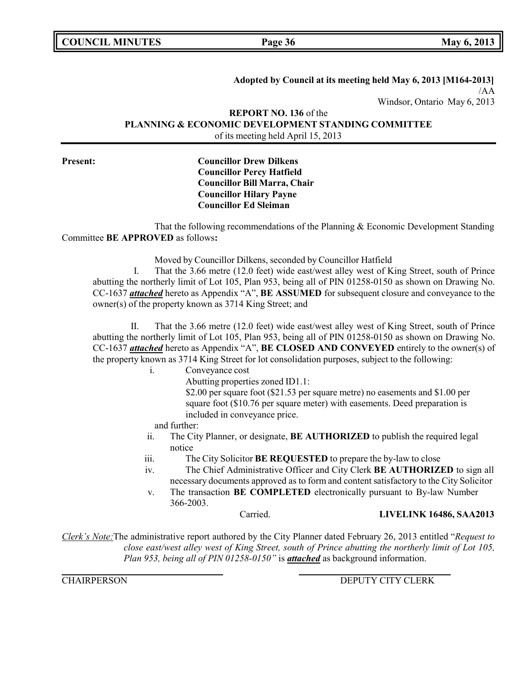|  | <b>COUNCIL MINUTES</b> |
|--|------------------------|
|--|------------------------|

**Page 36 May** 6, 2013

#### **Adopted by Council at its meeting held May 6, 2013 [M164-2013]**

/AA Windsor, Ontario May 6, 2013

# **REPORT NO. 136** of the **PLANNING & ECONOMIC DEVELOPMENT STANDING COMMITTEE** of its meeting held April 15, 2013

**Present: Councillor Drew Dilkens Councillor Percy Hatfield Councillor Bill Marra, Chair Councillor Hilary Payne Councillor Ed Sleiman**

That the following recommendations of the Planning & Economic Development Standing Committee **BE APPROVED** as follows**:**

Moved by Councillor Dilkens, seconded by Councillor Hatfield

I. That the 3.66 metre (12.0 feet) wide east/west alley west of King Street, south of Prince abutting the northerly limit of Lot 105, Plan 953, being all of PIN 01258-0150 as shown on Drawing No. CC-1637 *attached* hereto as Appendix "A", **BE ASSUMED** for subsequent closure and conveyance to the owner(s) of the property known as 3714 King Street; and

II. That the 3.66 metre (12.0 feet) wide east/west alley west of King Street, south of Prince abutting the northerly limit of Lot 105, Plan 953, being all of PIN 01258-0150 as shown on Drawing No. CC-1637 *attached* hereto as Appendix "A", **BE CLOSED AND CONVEYED** entirely to the owner(s) of the property known as 3714 King Street for lot consolidation purposes, subject to the following:

- i. Conveyance cost
	- Abutting properties zoned ID1.1:

\$2.00 per square foot (\$21.53 per square metre) no easements and \$1.00 per square foot (\$10.76 per square meter) with easements. Deed preparation is included in conveyance price.

and further:

- ii. The City Planner, or designate, **BE AUTHORIZED** to publish the required legal notice
- iii. The City Solicitor **BE REQUESTED** to prepare the by-law to close
- iv. The Chief Administrative Officer and City Clerk **BE AUTHORIZED** to sign all necessary documents approved as to form and content satisfactory to the City Solicitor
- v. The transaction **BE COMPLETED** electronically pursuant to By-law Number 366-2003.

Carried. **LIVELINK 16486, SAA2013**

*Clerk's Note:*The administrative report authored by the City Planner dated February 26, 2013 entitled "*Request to close east/west alley west of King Street, south of Prince abutting the northerly limit of Lot 105, Plan 953, being all of PIN 01258-0150"* is *attached* as background information.

CHAIRPERSON DEPUTY CITY CLERK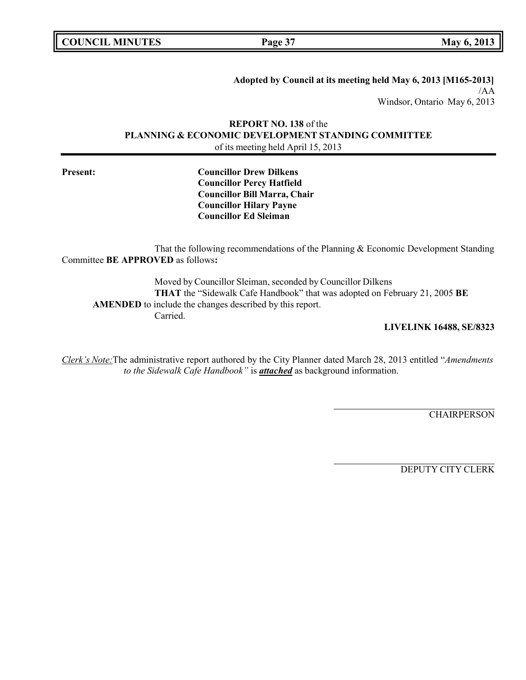**COUNCIL MINUTES Page 37 May 6, 2013**

**Adopted by Council at its meeting held May 6, 2013 [M165-2013]** /AA Windsor, Ontario May 6, 2013

# **REPORT NO. 138** of the **PLANNING & ECONOMIC DEVELOPMENT STANDING COMMITTEE** of its meeting held April 15, 2013

**Present: Councillor Drew Dilkens Councillor Percy Hatfield Councillor Bill Marra, Chair Councillor Hilary Payne Councillor Ed Sleiman**

That the following recommendations of the Planning & Economic Development Standing Committee **BE APPROVED** as follows**:**

Moved by Councillor Sleiman, seconded by Councillor Dilkens **THAT** the "Sidewalk Cafe Handbook" that was adopted on February 21, 2005 **BE AMENDED** to include the changes described by this report. Carried.

**LIVELINK 16488, SE/8323**

*Clerk's Note:*The administrative report authored by the City Planner dated March 28, 2013 entitled "*Amendments to the Sidewalk Cafe Handbook"* is *attached* as background information.

**CHAIRPERSON** 

DEPUTY CITY CLERK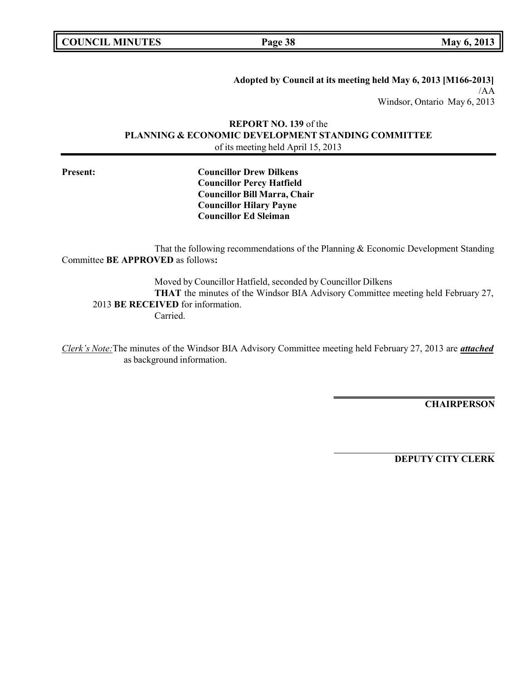**COUNCIL MINUTES Page 38 May 6, 2013**

**Adopted by Council at its meeting held May 6, 2013 [M166-2013]** /AA Windsor, Ontario May 6, 2013

# **REPORT NO. 139** of the **PLANNING & ECONOMIC DEVELOPMENT STANDING COMMITTEE** of its meeting held April 15, 2013

**Present: Councillor Drew Dilkens Councillor Percy Hatfield Councillor Bill Marra, Chair Councillor Hilary Payne Councillor Ed Sleiman**

That the following recommendations of the Planning & Economic Development Standing Committee **BE APPROVED** as follows**:**

Moved by Councillor Hatfield, seconded by Councillor Dilkens **THAT** the minutes of the Windsor BIA Advisory Committee meeting held February 27, 2013 **BE RECEIVED** for information. Carried.

*Clerk's Note:*The minutes of the Windsor BIA Advisory Committee meeting held February 27, 2013 are *attached* as background information.

**CHAIRPERSON**

**DEPUTY CITY CLERK**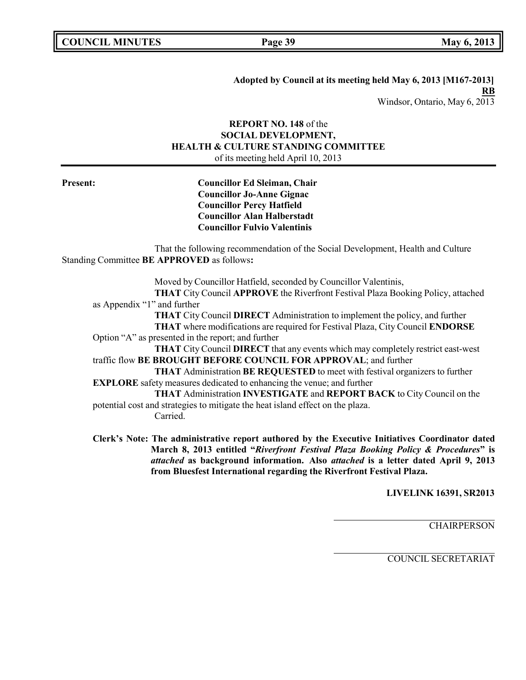**Adopted by Council at its meeting held May 6, 2013 [M167-2013] RB** Windsor, Ontario, May 6, 2013

# **REPORT NO. 148** of the **SOCIAL DEVELOPMENT, HEALTH & CULTURE STANDING COMMITTEE** of its meeting held April 10, 2013

**Present: Councillor Ed Sleiman, Chair Councillor Jo-Anne Gignac Councillor Percy Hatfield Councillor Alan Halberstadt Councillor Fulvio Valentinis**

That the following recommendation of the Social Development, Health and Culture Standing Committee **BE APPROVED** as follows**:**

Moved by Councillor Hatfield, seconded by Councillor Valentinis, **THAT** City Council **APPROVE** the Riverfront Festival Plaza Booking Policy, attached as Appendix "1" and further **THAT** City Council **DIRECT** Administration to implement the policy, and further **THAT** where modifications are required for Festival Plaza, City Council **ENDORSE** Option "A" as presented in the report; and further **THAT** City Council **DIRECT** that any events which may completely restrict east-west traffic flow **BE BROUGHT BEFORE COUNCIL FOR APPROVAL**; and further **THAT** Administration **BE REQUESTED** to meet with festival organizers to further **EXPLORE** safety measures dedicated to enhancing the venue; and further **THAT** Administration **INVESTIGATE** and **REPORT BACK** to City Council on the potential cost and strategies to mitigate the heat island effect on the plaza. Carried.

**Clerk's Note: The administrative report authored by the Executive Initiatives Coordinator dated March 8, 2013 entitled "***Riverfront Festival Plaza Booking Policy & Procedures***" is** *attached* **as background information. Also** *attached* **is a letter dated April 9, 2013 from Bluesfest International regarding the Riverfront Festival Plaza.**

**LIVELINK 16391, SR2013**

**CHAIRPERSON**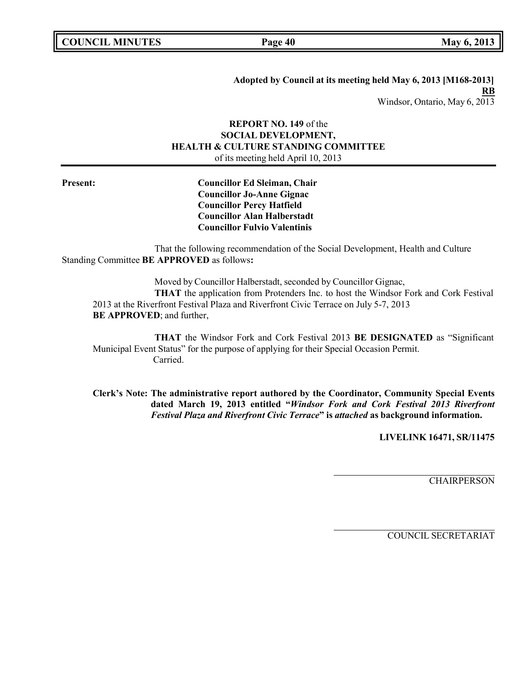**Adopted by Council at its meeting held May 6, 2013 [M168-2013] RB** Windsor, Ontario, May 6, 2013

## **REPORT NO. 149** of the **SOCIAL DEVELOPMENT, HEALTH & CULTURE STANDING COMMITTEE** of its meeting held April 10, 2013

**Present: Councillor Ed Sleiman, Chair Councillor Jo-Anne Gignac Councillor Percy Hatfield Councillor Alan Halberstadt Councillor Fulvio Valentinis**

That the following recommendation of the Social Development, Health and Culture Standing Committee **BE APPROVED** as follows**:**

Moved by Councillor Halberstadt, seconded by Councillor Gignac, **THAT** the application from Protenders Inc. to host the Windsor Fork and Cork Festival 2013 at the Riverfront Festival Plaza and Riverfront Civic Terrace on July 5-7, 2013 **BE APPROVED**; and further,

**THAT** the Windsor Fork and Cork Festival 2013 **BE DESIGNATED** as "Significant Municipal Event Status" for the purpose of applying for their Special Occasion Permit. Carried.

**Clerk's Note: The administrative report authored by the Coordinator, Community Special Events dated March 19, 2013 entitled "***Windsor Fork and Cork Festival 2013 Riverfront Festival Plaza and Riverfront Civic Terrace***" is** *attached* **as background information.**

**LIVELINK 16471, SR/11475**

**CHAIRPERSON**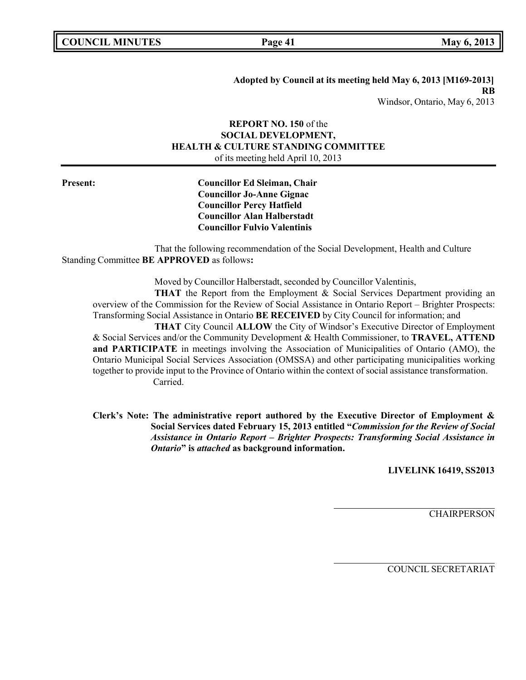**Adopted by Council at its meeting held May 6, 2013 [M169-2013] RB** Windsor, Ontario, May 6, 2013

## **REPORT NO. 150** of the **SOCIAL DEVELOPMENT, HEALTH & CULTURE STANDING COMMITTEE** of its meeting held April 10, 2013

**Present: Councillor Ed Sleiman, Chair Councillor Jo-Anne Gignac Councillor Percy Hatfield Councillor Alan Halberstadt Councillor Fulvio Valentinis**

That the following recommendation of the Social Development, Health and Culture Standing Committee **BE APPROVED** as follows**:**

Moved by Councillor Halberstadt, seconded by Councillor Valentinis,

**THAT** the Report from the Employment & Social Services Department providing an overview of the Commission for the Review of Social Assistance in Ontario Report – Brighter Prospects: Transforming Social Assistance in Ontario **BE RECEIVED** by City Council for information; and

**THAT** City Council **ALLOW** the City of Windsor's Executive Director of Employment & Social Services and/or the Community Development & Health Commissioner, to **TRAVEL, ATTEND and PARTICIPATE** in meetings involving the Association of Municipalities of Ontario (AMO), the Ontario Municipal Social Services Association (OMSSA) and other participating municipalities working together to provide input to the Province of Ontario within the context of social assistance transformation. Carried.

**Clerk's Note: The administrative report authored by the Executive Director of Employment & Social Services dated February 15, 2013 entitled "***Commission for the Review of Social Assistance in Ontario Report – Brighter Prospects: Transforming Social Assistance in Ontario***" is** *attached* **as background information.**

**LIVELINK 16419, SS2013**

CHAIRPERSON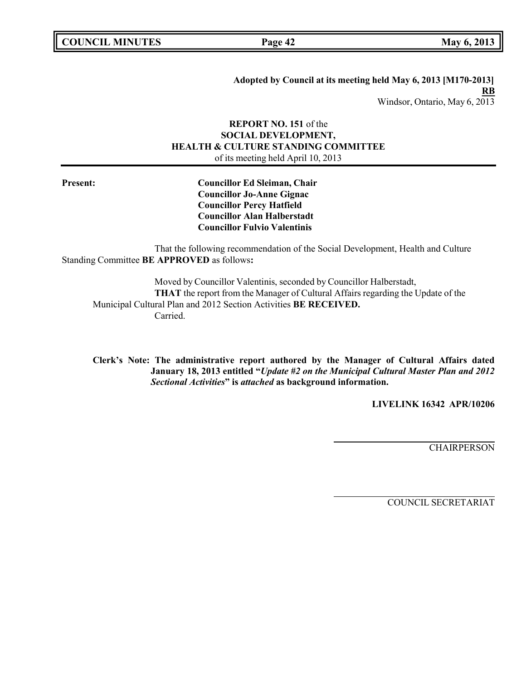**COUNCIL MINUTES Page 42 May 6, 2013**

**Adopted by Council at its meeting held May 6, 2013 [M170-2013] RB** Windsor, Ontario, May 6, 2013

# **REPORT NO. 151** of the **SOCIAL DEVELOPMENT, HEALTH & CULTURE STANDING COMMITTEE** of its meeting held April 10, 2013

**Present: Councillor Ed Sleiman, Chair Councillor Jo-Anne Gignac Councillor Percy Hatfield Councillor Alan Halberstadt Councillor Fulvio Valentinis**

That the following recommendation of the Social Development, Health and Culture Standing Committee **BE APPROVED** as follows**:**

Moved by Councillor Valentinis, seconded by Councillor Halberstadt, **THAT** the report from the Manager of Cultural Affairs regarding the Update of the Municipal Cultural Plan and 2012 Section Activities **BE RECEIVED.** Carried.

**Clerk's Note: The administrative report authored by the Manager of Cultural Affairs dated January 18, 2013 entitled "***Update #2 on the Municipal Cultural Master Plan and 2012 Sectional Activities***" is** *attached* **as background information.**

**LIVELINK 16342 APR/10206**

**CHAIRPERSON**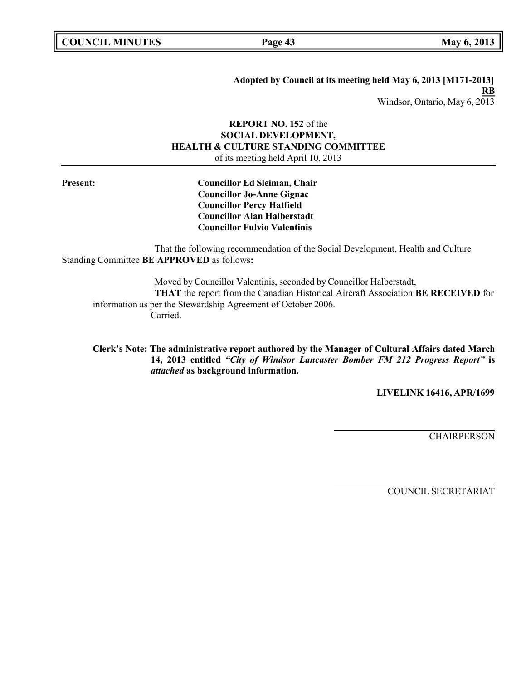**Adopted by Council at its meeting held May 6, 2013 [M171-2013] RB** Windsor, Ontario, May 6, 2013

## **REPORT NO. 152** of the **SOCIAL DEVELOPMENT, HEALTH & CULTURE STANDING COMMITTEE** of its meeting held April 10, 2013

**Present: Councillor Ed Sleiman, Chair Councillor Jo-Anne Gignac Councillor Percy Hatfield Councillor Alan Halberstadt Councillor Fulvio Valentinis**

That the following recommendation of the Social Development, Health and Culture Standing Committee **BE APPROVED** as follows**:**

Moved by Councillor Valentinis, seconded by Councillor Halberstadt, **THAT** the report from the Canadian Historical Aircraft Association **BE RECEIVED** for information as per the Stewardship Agreement of October 2006. Carried.

**Clerk's Note: The administrative report authored by the Manager of Cultural Affairs dated March 14, 2013 entitled** *"City of Windsor Lancaster Bomber FM 212 Progress Report"* **is** *attached* **as background information.**

**LIVELINK 16416, APR/1699**

**CHAIRPERSON**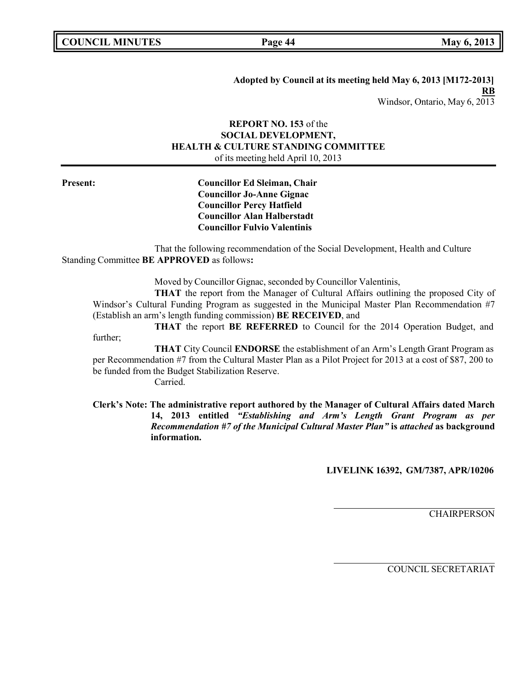**Adopted by Council at its meeting held May 6, 2013 [M172-2013] RB** Windsor, Ontario, May 6, 2013

# **REPORT NO. 153** of the **SOCIAL DEVELOPMENT, HEALTH & CULTURE STANDING COMMITTEE** of its meeting held April 10, 2013

**Present: Councillor Ed Sleiman, Chair Councillor Jo-Anne Gignac Councillor Percy Hatfield Councillor Alan Halberstadt Councillor Fulvio Valentinis**

That the following recommendation of the Social Development, Health and Culture Standing Committee **BE APPROVED** as follows**:**

Moved by Councillor Gignac, seconded by Councillor Valentinis,

**THAT** the report from the Manager of Cultural Affairs outlining the proposed City of Windsor's Cultural Funding Program as suggested in the Municipal Master Plan Recommendation #7 (Establish an arm's length funding commission) **BE RECEIVED**, and

**THAT** the report **BE REFERRED** to Council for the 2014 Operation Budget, and further;

**THAT** City Council **ENDORSE** the establishment of an Arm's Length Grant Program as per Recommendation #7 from the Cultural Master Plan as a Pilot Project for 2013 at a cost of \$87, 200 to be funded from the Budget Stabilization Reserve.

Carried.

**Clerk's Note: The administrative report authored by the Manager of Cultural Affairs dated March 14, 2013 entitled** *"Establishing and Arm's Length Grant Program as per Recommendation #7 of the Municipal Cultural Master Plan"* **is** *attached* **as background information.**

**LIVELINK 16392, GM/7387, APR/10206**

CHAIRPERSON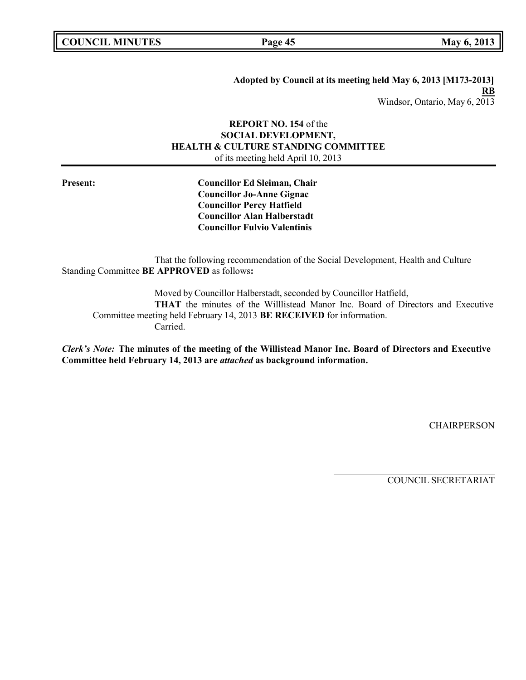**Adopted by Council at its meeting held May 6, 2013 [M173-2013] RB** Windsor, Ontario, May 6, 2013

## **REPORT NO. 154** of the **SOCIAL DEVELOPMENT, HEALTH & CULTURE STANDING COMMITTEE** of its meeting held April 10, 2013

**Present: Councillor Ed Sleiman, Chair Councillor Jo-Anne Gignac Councillor Percy Hatfield Councillor Alan Halberstadt Councillor Fulvio Valentinis**

That the following recommendation of the Social Development, Health and Culture Standing Committee **BE APPROVED** as follows**:**

Moved by Councillor Halberstadt, seconded by Councillor Hatfield, **THAT** the minutes of the Willlistead Manor Inc. Board of Directors and Executive Committee meeting held February 14, 2013 **BE RECEIVED** for information. Carried.

*Clerk's Note:* **The minutes of the meeting of the Willistead Manor Inc. Board of Directors and Executive Committee held February 14, 2013 are** *attached* **as background information.**

**CHAIRPERSON**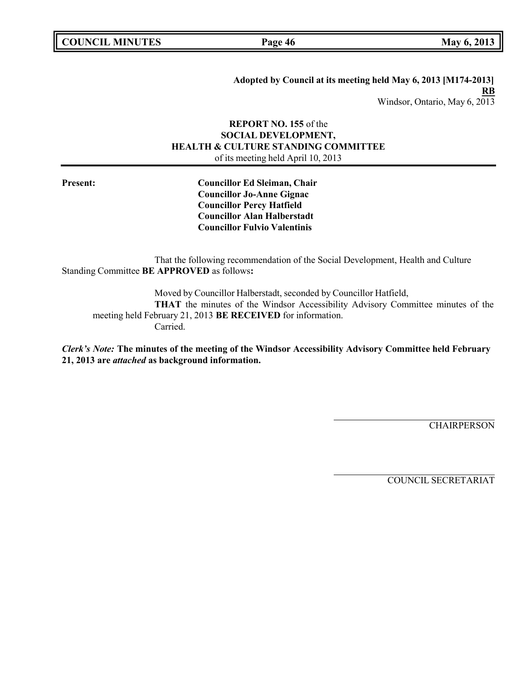**COUNCIL MINUTES Page 46 May 6, 2013**

**Adopted by Council at its meeting held May 6, 2013 [M174-2013] RB** Windsor, Ontario, May 6, 2013

# **REPORT NO. 155** of the **SOCIAL DEVELOPMENT, HEALTH & CULTURE STANDING COMMITTEE** of its meeting held April 10, 2013

**Present: Councillor Ed Sleiman, Chair Councillor Jo-Anne Gignac Councillor Percy Hatfield Councillor Alan Halberstadt Councillor Fulvio Valentinis**

That the following recommendation of the Social Development, Health and Culture Standing Committee **BE APPROVED** as follows**:**

Moved by Councillor Halberstadt, seconded by Councillor Hatfield, **THAT** the minutes of the Windsor Accessibility Advisory Committee minutes of the meeting held February 21, 2013 **BE RECEIVED** for information. Carried.

*Clerk's Note:* **The minutes of the meeting of the Windsor Accessibility Advisory Committee held February 21, 2013 are** *attached* **as background information.**

**CHAIRPERSON**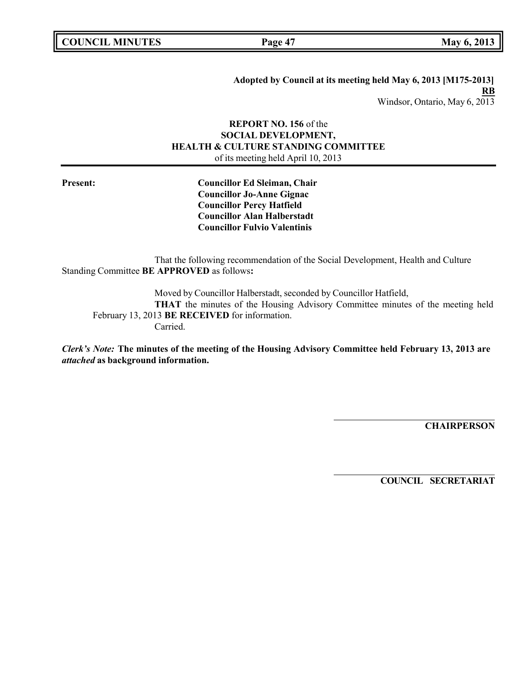**Adopted by Council at its meeting held May 6, 2013 [M175-2013] RB** Windsor, Ontario, May 6, 2013

## **REPORT NO. 156** of the **SOCIAL DEVELOPMENT, HEALTH & CULTURE STANDING COMMITTEE** of its meeting held April 10, 2013

**Present: Councillor Ed Sleiman, Chair Councillor Jo-Anne Gignac Councillor Percy Hatfield Councillor Alan Halberstadt Councillor Fulvio Valentinis**

That the following recommendation of the Social Development, Health and Culture Standing Committee **BE APPROVED** as follows**:**

Moved by Councillor Halberstadt, seconded by Councillor Hatfield, **THAT** the minutes of the Housing Advisory Committee minutes of the meeting held February 13, 2013 **BE RECEIVED** for information. Carried.

*Clerk's Note:* **The minutes of the meeting of the Housing Advisory Committee held February 13, 2013 are** *attached* **as background information.**

**CHAIRPERSON**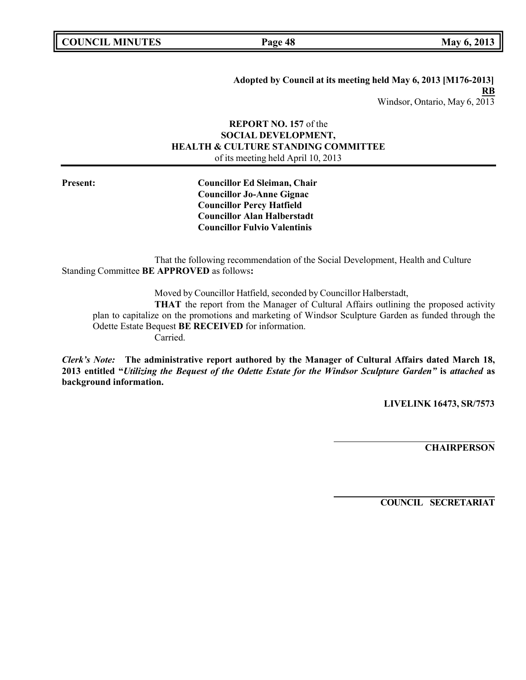**COUNCIL MINUTES Page 48 May 6, 2013**

**Adopted by Council at its meeting held May 6, 2013 [M176-2013] RB** Windsor, Ontario, May 6, 2013

# **REPORT NO. 157** of the **SOCIAL DEVELOPMENT, HEALTH & CULTURE STANDING COMMITTEE** of its meeting held April 10, 2013

**Present: Councillor Ed Sleiman, Chair Councillor Jo-Anne Gignac Councillor Percy Hatfield Councillor Alan Halberstadt Councillor Fulvio Valentinis**

That the following recommendation of the Social Development, Health and Culture Standing Committee **BE APPROVED** as follows**:**

Moved by Councillor Hatfield, seconded by Councillor Halberstadt,

**THAT** the report from the Manager of Cultural Affairs outlining the proposed activity plan to capitalize on the promotions and marketing of Windsor Sculpture Garden as funded through the Odette Estate Bequest **BE RECEIVED** for information.

Carried.

*Clerk's Note:* **The administrative report authored by the Manager of Cultural Affairs dated March 18, 2013 entitled "***Utilizing the Bequest of the Odette Estate for the Windsor Sculpture Garden"* **is** *attached* **as background information.**

**LIVELINK 16473, SR/7573**

**CHAIRPERSON**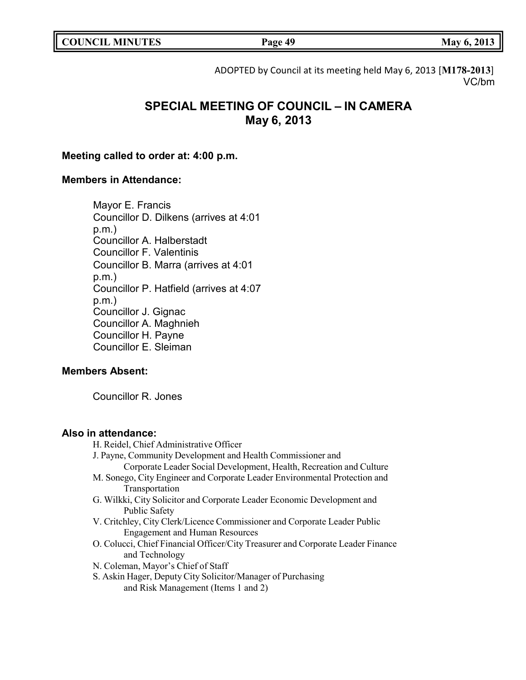| <b>COUNCIL MINUTES</b> |  |
|------------------------|--|
|------------------------|--|

**COUNCIL EXECUTE: Page 49 May** 6, 2013

ADOPTED by Council at its meeting held May 6, 2013 [**M178-2013**] VC/bm

# **SPECIAL MEETING OF COUNCIL – IN CAMERA May 6, 2013**

# **Meeting called to order at: 4:00 p.m.**

# **Members in Attendance:**

Mayor E. Francis Councillor D. Dilkens (arrives at 4:01 p.m.) Councillor A. Halberstadt Councillor F. Valentinis Councillor B. Marra (arrives at 4:01 p.m.) Councillor P. Hatfield (arrives at 4:07 p.m.) Councillor J. Gignac Councillor A. Maghnieh Councillor H. Payne Councillor E. Sleiman

# **Members Absent:**

Councillor R. Jones

# **Also in attendance:**

- H. Reidel, Chief Administrative Officer
- J. Payne, Community Development and Health Commissioner and
- Corporate Leader Social Development, Health, Recreation and Culture M. Sonego, City Engineer and Corporate Leader Environmental Protection and
	- Transportation
- G. Wilkki, City Solicitor and Corporate Leader Economic Development and Public Safety
- V. Critchley, City Clerk/Licence Commissioner and Corporate Leader Public Engagement and Human Resources
- O. Colucci, Chief Financial Officer/City Treasurer and Corporate Leader Finance and Technology
- N. Coleman, Mayor's Chief of Staff
- S. Askin Hager, Deputy City Solicitor/Manager of Purchasing and Risk Management (Items 1 and 2)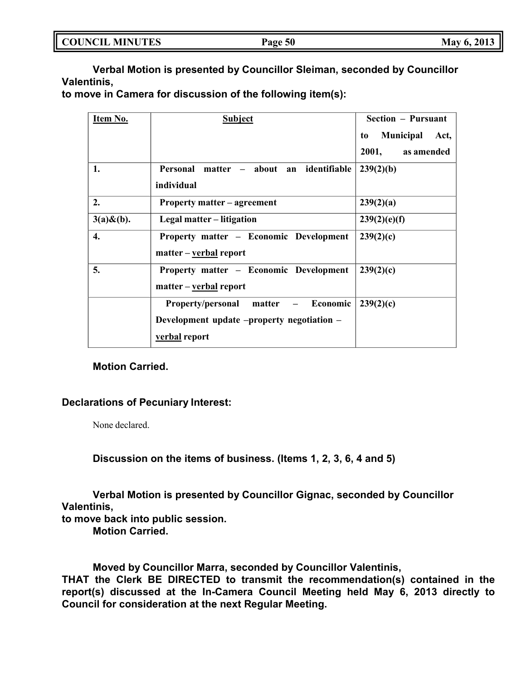| <b>COUNCIL MINUTES</b> |  |
|------------------------|--|
|------------------------|--|

**Verbal Motion is presented by Councillor Sleiman, seconded by Councillor Valentinis,**

**to move in Camera for discussion of the following item(s):**

| Item No.         | <b>Subject</b>                             | <b>Section – Pursuant</b>      |
|------------------|--------------------------------------------|--------------------------------|
|                  |                                            | <b>Municipal</b><br>Act,<br>to |
|                  |                                            | 2001,<br>as amended            |
| 1.               | Personal matter - about an identifiable    | 239(2)(b)                      |
|                  | individual                                 |                                |
| 2.               | <b>Property matter – agreement</b>         | 239(2)(a)                      |
| $3(a) \& (b)$ .  | Legal matter – litigation                  | 239(2)(e)(f)                   |
| $\overline{4}$ . | Property matter - Economic Development     | 239(2)(c)                      |
|                  | matter – verbal report                     |                                |
| 5.               | Property matter - Economic Development     | 239(2)(c)                      |
|                  | matter – verbal report                     |                                |
|                  | Property/personal matter – Economic        | 239(2)(c)                      |
|                  | Development update -property negotiation - |                                |
|                  | verbal report                              |                                |

# **Motion Carried.**

# **Declarations of Pecuniary Interest:**

None declared.

**Discussion on the items of business. (Items 1, 2, 3, 6, 4 and 5)**

**Verbal Motion is presented by Councillor Gignac, seconded by Councillor Valentinis,**

**to move back into public session.**

**Motion Carried.**

**Moved by Councillor Marra, seconded by Councillor Valentinis,**

**THAT the Clerk BE DIRECTED to transmit the recommendation(s) contained in the report(s) discussed at the In-Camera Council Meeting held May 6, 2013 directly to Council for consideration at the next Regular Meeting.**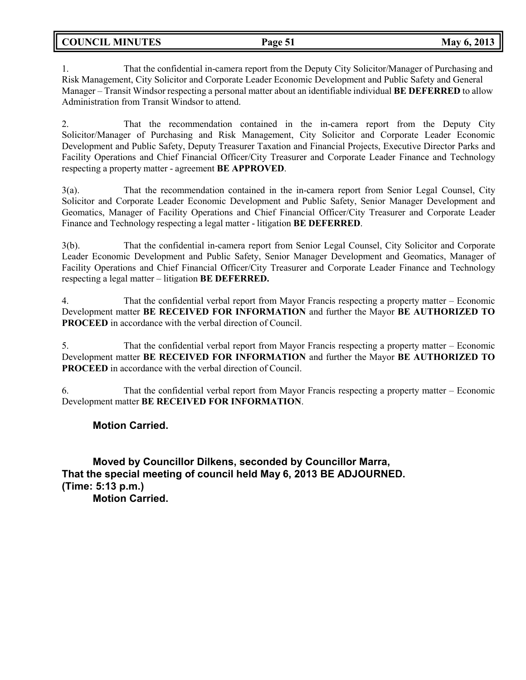**COUNCIL MINUTES Page 51 May 6, 2013**

1. That the confidential in-camera report from the Deputy City Solicitor/Manager of Purchasing and Risk Management, City Solicitor and Corporate Leader Economic Development and Public Safety and General Manager – Transit Windsor respecting a personal matter about an identifiable individual **BE DEFERRED** to allow Administration from Transit Windsor to attend.

2. That the recommendation contained in the in-camera report from the Deputy City Solicitor/Manager of Purchasing and Risk Management, City Solicitor and Corporate Leader Economic Development and Public Safety, Deputy Treasurer Taxation and Financial Projects, Executive Director Parks and Facility Operations and Chief Financial Officer/City Treasurer and Corporate Leader Finance and Technology respecting a property matter - agreement **BE APPROVED**.

3(a). That the recommendation contained in the in-camera report from Senior Legal Counsel, City Solicitor and Corporate Leader Economic Development and Public Safety, Senior Manager Development and Geomatics, Manager of Facility Operations and Chief Financial Officer/City Treasurer and Corporate Leader Finance and Technology respecting a legal matter - litigation **BE DEFERRED**.

3(b). That the confidential in-camera report from Senior Legal Counsel, City Solicitor and Corporate Leader Economic Development and Public Safety, Senior Manager Development and Geomatics, Manager of Facility Operations and Chief Financial Officer/City Treasurer and Corporate Leader Finance and Technology respecting a legal matter – litigation **BE DEFERRED.**

4. That the confidential verbal report from Mayor Francis respecting a property matter – Economic Development matter **BE RECEIVED FOR INFORMATION** and further the Mayor **BE AUTHORIZED TO PROCEED** in accordance with the verbal direction of Council.

5. That the confidential verbal report from Mayor Francis respecting a property matter – Economic Development matter **BE RECEIVED FOR INFORMATION** and further the Mayor **BE AUTHORIZED TO PROCEED** in accordance with the verbal direction of Council.

6. That the confidential verbal report from Mayor Francis respecting a property matter – Economic Development matter **BE RECEIVED FOR INFORMATION**.

**Motion Carried.**

**Moved by Councillor Dilkens, seconded by Councillor Marra, That the special meeting of council held May 6, 2013 BE ADJOURNED. (Time: 5:13 p.m.) Motion Carried.**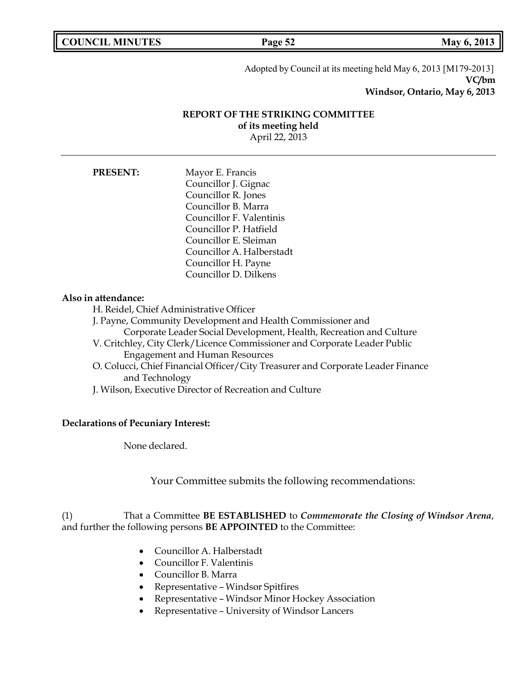**COUNCIL MINUTES Page 52 May 6, 2013**

Adopted by Council at its meeting held May 6, 2013 [M179-2013] **VC/bm Windsor, Ontario, May 6, 2013**

# **REPORT OF THE STRIKING COMMITTEE of its meeting held**

April 22, 2013

**PRESENT:** Mayor E. Francis Councillor J. Gignac Councillor R. Jones Councillor B. Marra Councillor F. Valentinis Councillor P. Hatfield Councillor E. Sleiman Councillor A. Halberstadt Councillor H. Payne Councillor D. Dilkens

## **Also in attendance:**

H. Reidel, Chief Administrative Officer

- J. Payne, Community Development and Health Commissioner and
	- Corporate Leader Social Development, Health, Recreation and Culture
- V. Critchley, City Clerk/Licence Commissioner and Corporate Leader Public Engagement and Human Resources
- O. Colucci, Chief Financial Officer/City Treasurer and Corporate Leader Finance and Technology
- J. Wilson, Executive Director of Recreation and Culture

## **Declarations of Pecuniary Interest:**

None declared.

Your Committee submits the following recommendations:

# (1) That a Committee **BE ESTABLISHED** to *Commemorate the Closing of Windsor Arena*, and further the following persons **BE APPOINTED** to the Committee:

- Councillor A. Halberstadt
- Councillor F. Valentinis
- Councillor B. Marra
- Representative Windsor Spitfires
- Representative Windsor Minor Hockey Association
- Representative University of Windsor Lancers